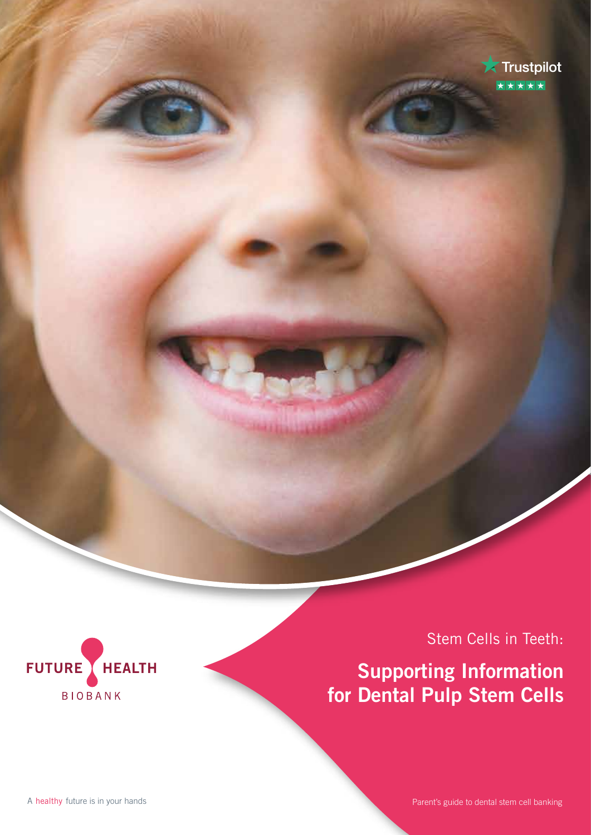



Stem Cells in Teeth:

**Supporting Information for Dental Pulp Stem Cells**

A healthy future is in your hands

Parent's guide to dental stem cell banking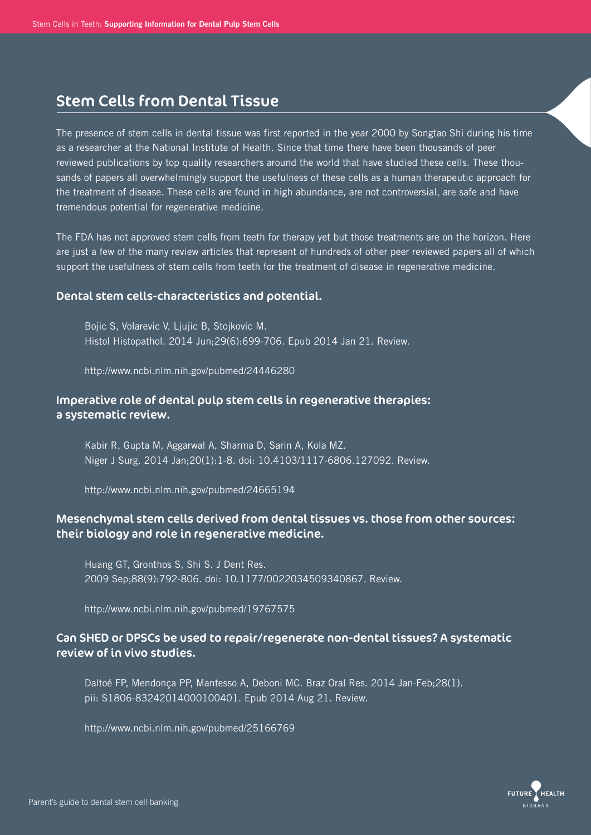## Stem Cells from Dental Tissue

The presence of stem cells in dental tissue was first reported in the year 2000 by Songtao Shi during his time as a researcher at the National Institute of Health. Since that time there have been thousands of peer reviewed publications by top quality researchers around the world that have studied these cells. These thousands of papers all overwhelmingly support the usefulness of these cells as a human therapeutic approach for the treatment of disease. These cells are found in high abundance, are not controversial, are safe and have tremendous potential for regenerative medicine.

The FDA has not approved stem cells from teeth for therapy yet but those treatments are on the horizon. Here are just a few of the many review articles that represent of hundreds of other peer reviewed papers all of which support the usefulness of stem cells from teeth for the treatment of disease in regenerative medicine.

### Dental stem cells-characteristics and potential.

 Bojic S, Volarevic V, Ljujic B, Stojkovic M. Histol Histopathol. 2014 Jun;29(6):699-706. Epub 2014 Jan 21. Review.

http://www.ncbi.nlm.nih.gov/pubmed/24446280

## Imperative role of dental pulp stem cells in regenerative therapies: a systematic review.

 Kabir R, Gupta M, Aggarwal A, Sharma D, Sarin A, Kola MZ. Niger J Surg. 2014 Jan;20(1):1-8. doi: 10.4103/1117-6806.127092. Review.

http://www.ncbi.nlm.nih.gov/pubmed/24665194

## Mesenchymal stem cells derived from dental tissues vs. those from other sources: their biology and role in regenerative medicine.

 Huang GT, Gronthos S, Shi S. J Dent Res. 2009 Sep;88(9):792-806. doi: 10.1177/0022034509340867. Review.

http://www.ncbi.nlm.nih.gov/pubmed/19767575

## Can SHED or DPSCs be used to repair/regenerate non-dental tissues? A systematic review of in vivo studies.

 Daltoé FP, Mendonça PP, Mantesso A, Deboni MC. Braz Oral Res. 2014 Jan-Feb;28(1). pii: S1806-83242014000100401. Epub 2014 Aug 21. Review.

http://www.ncbi.nlm.nih.gov/pubmed/25166769

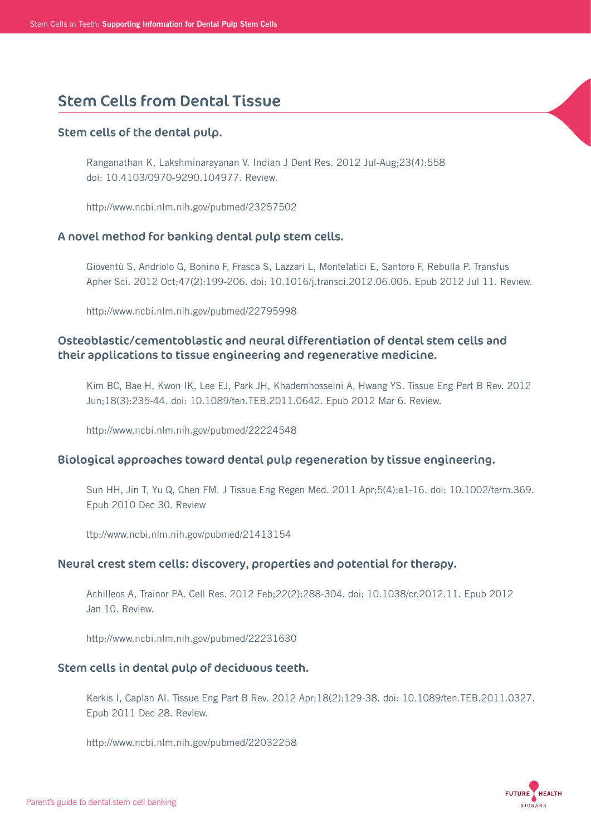## Stem Cells from Dental Tissue

#### Stem cells of the dental pulp.

 Ranganathan K, Lakshminarayanan V. Indian J Dent Res. 2012 Jul-Aug;23(4):558 doi: 10.4103/0970-9290.104977. Review.

http://www.ncbi.nlm.nih.gov/pubmed/23257502

#### A novel method for banking dental pulp stem cells.

 Gioventù S, Andriolo G, Bonino F, Frasca S, Lazzari L, Montelatici E, Santoro F, Rebulla P. Transfus Apher Sci. 2012 Oct;47(2):199-206. doi: 10.1016/j.transci.2012.06.005. Epub 2012 Jul 11. Review.

http://www.ncbi.nlm.nih.gov/pubmed/22795998

## Osteoblastic/cementoblastic and neural differentiation of dental stem cells and their applications to tissue engineering and regenerative medicine.

 Kim BC, Bae H, Kwon IK, Lee EJ, Park JH, Khademhosseini A, Hwang YS. Tissue Eng Part B Rev. 2012 Jun;18(3):235-44. doi: 10.1089/ten.TEB.2011.0642. Epub 2012 Mar 6. Review.

http://www.ncbi.nlm.nih.gov/pubmed/22224548

#### Biological approaches toward dental pulp regeneration by tissue engineering.

 Sun HH, Jin T, Yu Q, Chen FM. J Tissue Eng Regen Med. 2011 Apr;5(4):e1-16. doi: 10.1002/term.369. Epub 2010 Dec 30. Review

ttp://www.ncbi.nlm.nih.gov/pubmed/21413154

#### Neural crest stem cells: discovery, properties and potential for therapy.

 Achilleos A, Trainor PA. Cell Res. 2012 Feb;22(2):288-304. doi: 10.1038/cr.2012.11. Epub 2012 Jan 10. Review.

http://www.ncbi.nlm.nih.gov/pubmed/22231630

### Stem cells in dental pulp of deciduous teeth.

 Kerkis I, Caplan AI. Tissue Eng Part B Rev. 2012 Apr;18(2):129-38. doi: 10.1089/ten.TEB.2011.0327. Epub 2011 Dec 28. Review.

http://www.ncbi.nlm.nih.gov/pubmed/22032258

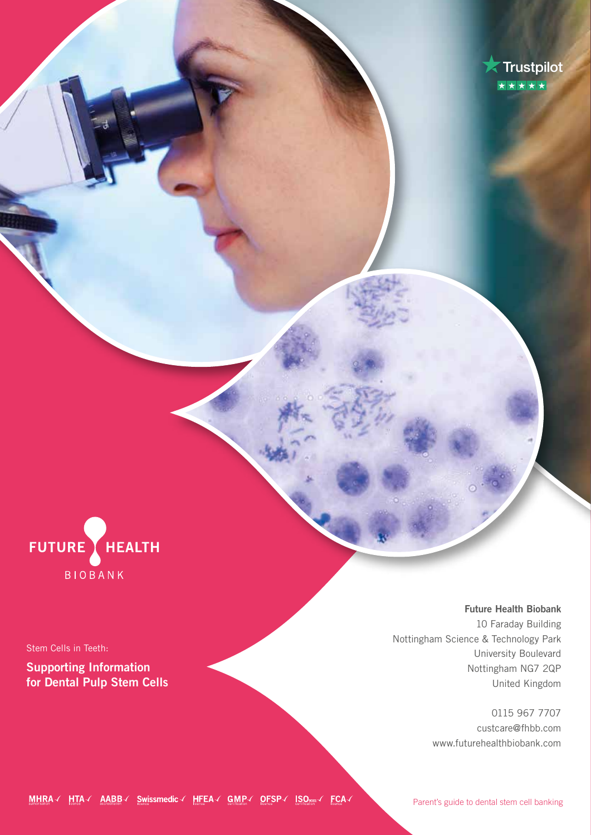



Stem Cells in Teeth:

**Supporting Information for Dental Pulp Stem Cells**

**Future Health Biobank** 10 Faraday Building Nottingham Science & Technology Park University Boulevard Nottingham NG7 2QP United Kingdom

> 0115 967 7707 custcare@fhbb.com www.futurehealthbiobank.com

MHRA / HTA / AABB / Swissmedic / HFEA / GMP / OFSP / ISO SOO / FCA /

Parent's guide to dental stem cell banking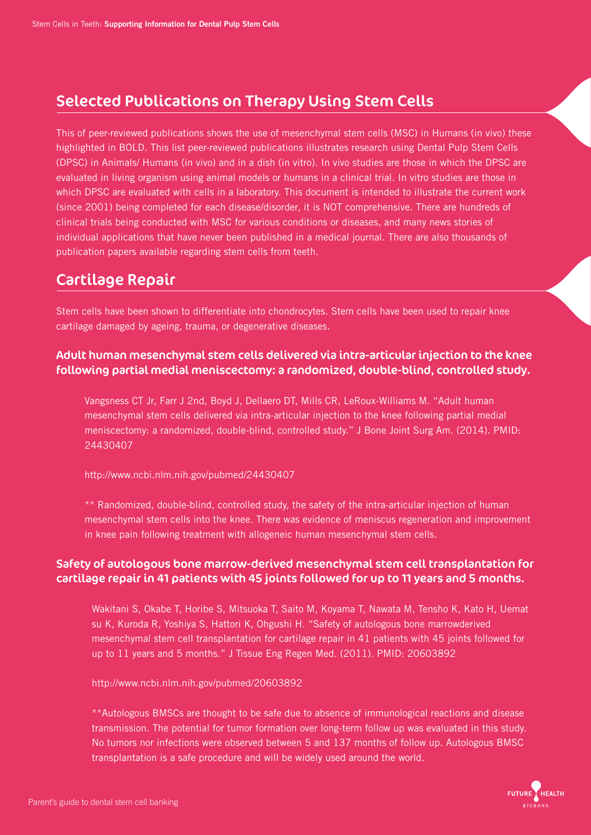# Selected Publications on Therapy Using Stem Cells

This of peer-reviewed publications shows the use of mesenchymal stem cells (MSC) in Humans (in vivo) these highlighted in BOLD. This list peer-reviewed publications illustrates research using Dental Pulp Stem Cells (DPSC) in Animals/ Humans (in vivo) and in a dish (in vitro). In vivo studies are those in which the DPSC are evaluated in living organism using animal models or humans in a clinical trial. In vitro studies are those in which DPSC are evaluated with cells in a laboratory. This document is intended to illustrate the current work (since 2001) being completed for each disease/disorder, it is NOT comprehensive. There are hundreds of clinical trials being conducted with MSC for various conditions or diseases, and many news stories of individual applications that have never been published in a medical journal. There are also thousands of publication papers available regarding stem cells from teeth.

# Cartilage Repair

Stem cells have been shown to differentiate into chondrocytes. Stem cells have been used to repair knee cartilage damaged by ageing, trauma, or degenerative diseases.

## Adult human mesenchymal stem cells delivered via intra-articular injection to the knee following partial medial meniscectomy: a randomized, double-blind, controlled study.

 Vangsness CT Jr, Farr J 2nd, Boyd J, Dellaero DT, Mills CR, LeRoux-Williams M. "Adult human mesenchymal stem cells delivered via intra-articular injection to the knee following partial medial meniscectomy: a randomized, double-blind, controlled study." J Bone Joint Surg Am. (2014). PMID: 24430407

http://www.ncbi.nlm.nih.gov/pubmed/24430407

 \*\* Randomized, double-blind, controlled study, the safety of the intra-articular injection of human mesenchymal stem cells into the knee. There was evidence of meniscus regeneration and improvement in knee pain following treatment with allogeneic human mesenchymal stem cells.

## Safety of autologous bone marrow-derived mesenchymal stem cell transplantation for cartilage repair in 41 patients with 45 joints followed for up to 11 years and 5 months.

 Wakitani S, Okabe T, Horibe S, Mitsuoka T, Saito M, Koyama T, Nawata M, Tensho K, Kato H, Uemat su K, Kuroda R, Yoshiya S, Hattori K, Ohgushi H. "Safety of autologous bone marrowderived mesenchymal stem cell transplantation for cartilage repair in 41 patients with 45 joints followed for up to 11 years and 5 months." J Tissue Eng Regen Med. (2011). PMID: 20603892

http://www.ncbi.nlm.nih.gov/pubmed/20603892

 \*\*Autologous BMSCs are thought to be safe due to absence of immunological reactions and disease transmission. The potential for tumor formation over long-term follow up was evaluated in this study. No tumors nor infections were observed between 5 and 137 months of follow up. Autologous BMSC transplantation is a safe procedure and will be widely used around the world.

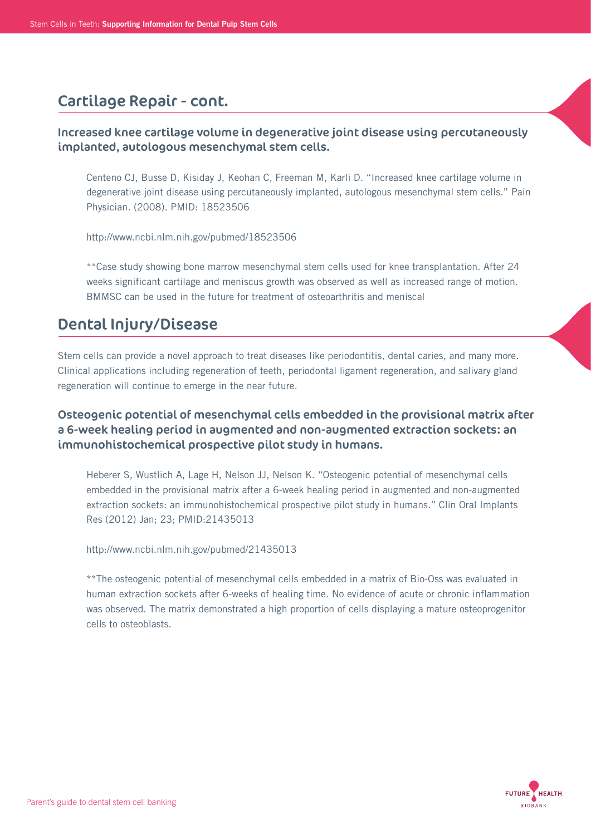## Cartilage Repair - cont.

## Increased knee cartilage volume in degenerative joint disease using percutaneously implanted, autologous mesenchymal stem cells.

 Centeno CJ, Busse D, Kisiday J, Keohan C, Freeman M, Karli D. "Increased knee cartilage volume in degenerative joint disease using percutaneously implanted, autologous mesenchymal stem cells." Pain Physician. (2008). PMID: 18523506

http://www.ncbi.nlm.nih.gov/pubmed/18523506

 \*\*Case study showing bone marrow mesenchymal stem cells used for knee transplantation. After 24 weeks significant cartilage and meniscus growth was observed as well as increased range of motion. BMMSC can be used in the future for treatment of osteoarthritis and meniscal

# Dental Injury/Disease

Stem cells can provide a novel approach to treat diseases like periodontitis, dental caries, and many more. Clinical applications including regeneration of teeth, periodontal ligament regeneration, and salivary gland regeneration will continue to emerge in the near future.

## Osteogenic potential of mesenchymal cells embedded in the provisional matrix after a 6-week healing period in augmented and non-augmented extraction sockets: an immunohistochemical prospective pilot study in humans.

 Heberer S, Wustlich A, Lage H, Nelson JJ, Nelson K. "Osteogenic potential of mesenchymal cells embedded in the provisional matrix after a 6-week healing period in augmented and non-augmented extraction sockets: an immunohistochemical prospective pilot study in humans." Clin Oral Implants Res (2012) Jan; 23; PMID:21435013

http://www.ncbi.nlm.nih.gov/pubmed/21435013

 \*\*The osteogenic potential of mesenchymal cells embedded in a matrix of Bio-Oss was evaluated in human extraction sockets after 6-weeks of healing time. No evidence of acute or chronic inflammation was observed. The matrix demonstrated a high proportion of cells displaying a mature osteoprogenitor cells to osteoblasts.

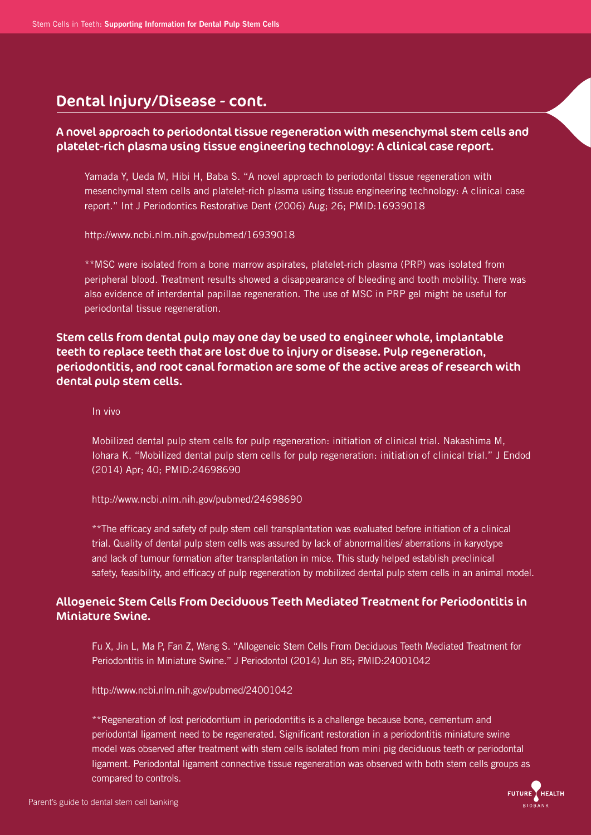## Dental Injury/Disease - cont.

## A novel approach to periodontal tissue regeneration with mesenchymal stem cells and platelet-rich plasma using tissue engineering technology: A clinical case report.

 Yamada Y, Ueda M, Hibi H, Baba S. "A novel approach to periodontal tissue regeneration with mesenchymal stem cells and platelet-rich plasma using tissue engineering technology: A clinical case report." Int J Periodontics Restorative Dent (2006) Aug; 26; PMID:16939018

http://www.ncbi.nlm.nih.gov/pubmed/16939018

 \*\*MSC were isolated from a bone marrow aspirates, platelet-rich plasma (PRP) was isolated from peripheral blood. Treatment results showed a disappearance of bleeding and tooth mobility. There was also evidence of interdental papillae regeneration. The use of MSC in PRP gel might be useful for periodontal tissue regeneration.

Stem cells from dental pulp may one day be used to engineer whole, implantable teeth to replace teeth that are lost due to injury or disease. Pulp regeneration, periodontitis, and root canal formation are some of the active areas of research with dental pulp stem cells.

In vivo

 Mobilized dental pulp stem cells for pulp regeneration: initiation of clinical trial. Nakashima M, Iohara K. "Mobilized dental pulp stem cells for pulp regeneration: initiation of clinical trial." J Endod (2014) Apr; 40; PMID:24698690

http://www.ncbi.nlm.nih.gov/pubmed/24698690

 \*\*The efficacy and safety of pulp stem cell transplantation was evaluated before initiation of a clinical trial. Quality of dental pulp stem cells was assured by lack of abnormalities/ aberrations in karyotype and lack of tumour formation after transplantation in mice. This study helped establish preclinical safety, feasibility, and efficacy of pulp regeneration by mobilized dental pulp stem cells in an animal model.

## Allogeneic Stem Cells From Deciduous Teeth Mediated Treatment for Periodontitis in Miniature Swine.

Fu X, Jin L, Ma P, Fan Z, Wang S. "Allogeneic Stem Cells From Deciduous Teeth Mediated Treatment for Periodontitis in Miniature Swine." J Periodontol (2014) Jun 85; PMID:24001042

http://www.ncbi.nlm.nih.gov/pubmed/24001042

 \*\*Regeneration of lost periodontium in periodontitis is a challenge because bone, cementum and periodontal ligament need to be regenerated. Significant restoration in a periodontitis miniature swine model was observed after treatment with stem cells isolated from mini pig deciduous teeth or periodontal ligament. Periodontal ligament connective tissue regeneration was observed with both stem cells groups as compared to controls.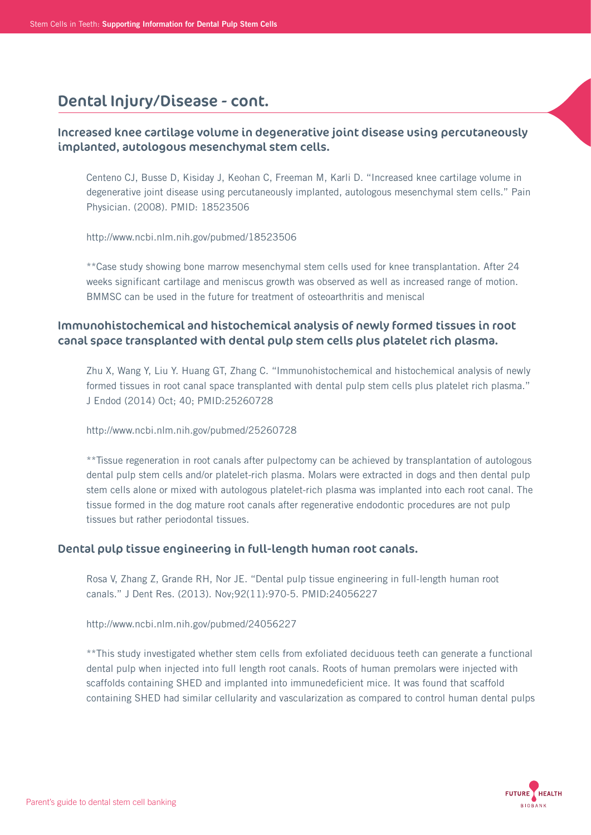## Dental Injury/Disease - cont.

## Increased knee cartilage volume in degenerative joint disease using percutaneously implanted, autologous mesenchymal stem cells.

 Centeno CJ, Busse D, Kisiday J, Keohan C, Freeman M, Karli D. "Increased knee cartilage volume in degenerative joint disease using percutaneously implanted, autologous mesenchymal stem cells." Pain Physician. (2008). PMID: 18523506

http://www.ncbi.nlm.nih.gov/pubmed/18523506

 \*\*Case study showing bone marrow mesenchymal stem cells used for knee transplantation. After 24 weeks significant cartilage and meniscus growth was observed as well as increased range of motion. BMMSC can be used in the future for treatment of osteoarthritis and meniscal

## Immunohistochemical and histochemical analysis of newly formed tissues in root canal space transplanted with dental pulp stem cells plus platelet rich plasma.

 Zhu X, Wang Y, Liu Y. Huang GT, Zhang C. "Immunohistochemical and histochemical analysis of newly formed tissues in root canal space transplanted with dental pulp stem cells plus platelet rich plasma." J Endod (2014) Oct; 40; PMID:25260728

http://www.ncbi.nlm.nih.gov/pubmed/25260728

 \*\*Tissue regeneration in root canals after pulpectomy can be achieved by transplantation of autologous dental pulp stem cells and/or platelet-rich plasma. Molars were extracted in dogs and then dental pulp stem cells alone or mixed with autologous platelet-rich plasma was implanted into each root canal. The tissue formed in the dog mature root canals after regenerative endodontic procedures are not pulp tissues but rather periodontal tissues.

## Dental pulp tissue engineering in full-length human root canals.

 Rosa V, Zhang Z, Grande RH, Nor JE. "Dental pulp tissue engineering in full-length human root canals." J Dent Res. (2013). Nov;92(11):970-5. PMID:24056227

http://www.ncbi.nlm.nih.gov/pubmed/24056227

 \*\*This study investigated whether stem cells from exfoliated deciduous teeth can generate a functional dental pulp when injected into full length root canals. Roots of human premolars were injected with scaffolds containing SHED and implanted into immunedeficient mice. It was found that scaffold containing SHED had similar cellularity and vascularization as compared to control human dental pulps

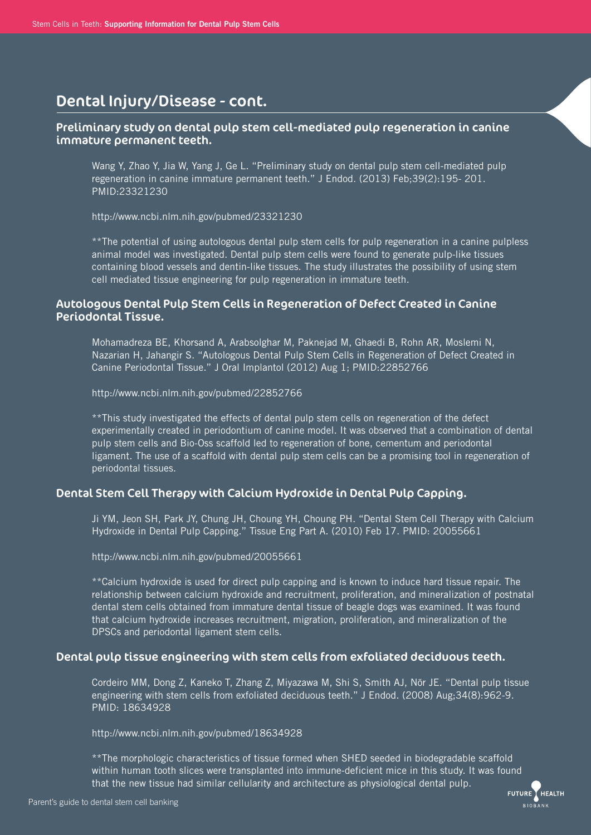## Dental Injury/Disease - cont.

### Preliminary study on dental pulp stem cell-mediated pulp regeneration in canine immature permanent teeth.

 Wang Y, Zhao Y, Jia W, Yang J, Ge L. "Preliminary study on dental pulp stem cell-mediated pulp regeneration in canine immature permanent teeth." J Endod. (2013) Feb;39(2):195- 201. PMID:23321230

http://www.ncbi.nlm.nih.gov/pubmed/23321230

 \*\*The potential of using autologous dental pulp stem cells for pulp regeneration in a canine pulpless animal model was investigated. Dental pulp stem cells were found to generate pulp-like tissues containing blood vessels and dentin-like tissues. The study illustrates the possibility of using stem cell mediated tissue engineering for pulp regeneration in immature teeth.

### Autologous Dental Pulp Stem Cells in Regeneration of Defect Created in Canine Periodontal Tissue.

 Mohamadreza BE, Khorsand A, Arabsolghar M, Paknejad M, Ghaedi B, Rohn AR, Moslemi N, Nazarian H, Jahangir S. "Autologous Dental Pulp Stem Cells in Regeneration of Defect Created in Canine Periodontal Tissue." J Oral Implantol (2012) Aug 1; PMID:22852766

http://www.ncbi.nlm.nih.gov/pubmed/22852766

 \*\*This study investigated the effects of dental pulp stem cells on regeneration of the defect experimentally created in periodontium of canine model. It was observed that a combination of dental pulp stem cells and Bio-Oss scaffold led to regeneration of bone, cementum and periodontal ligament. The use of a scaffold with dental pulp stem cells can be a promising tool in regeneration of periodontal tissues.

### Dental Stem Cell Therapy with Calcium Hydroxide in Dental Pulp Capping.

 Ji YM, Jeon SH, Park JY, Chung JH, Choung YH, Choung PH. "Dental Stem Cell Therapy with Calcium Hydroxide in Dental Pulp Capping." Tissue Eng Part A. (2010) Feb 17. PMID: 20055661

http://www.ncbi.nlm.nih.gov/pubmed/20055661

 \*\*Calcium hydroxide is used for direct pulp capping and is known to induce hard tissue repair. The relationship between calcium hydroxide and recruitment, proliferation, and mineralization of postnatal dental stem cells obtained from immature dental tissue of beagle dogs was examined. It was found that calcium hydroxide increases recruitment, migration, proliferation, and mineralization of the DPSCs and periodontal ligament stem cells.

### Dental pulp tissue engineering with stem cells from exfoliated deciduous teeth.

 Cordeiro MM, Dong Z, Kaneko T, Zhang Z, Miyazawa M, Shi S, Smith AJ, Nör JE. "Dental pulp tissue engineering with stem cells from exfoliated deciduous teeth." J Endod. (2008) Aug;34(8):962-9. PMID: 18634928

http://www.ncbi.nlm.nih.gov/pubmed/18634928

 \*\*The morphologic characteristics of tissue formed when SHED seeded in biodegradable scaffold within human tooth slices were transplanted into immune-deficient mice in this study. It was found that the new tissue had similar cellularity and architecture as physiological dental pulp.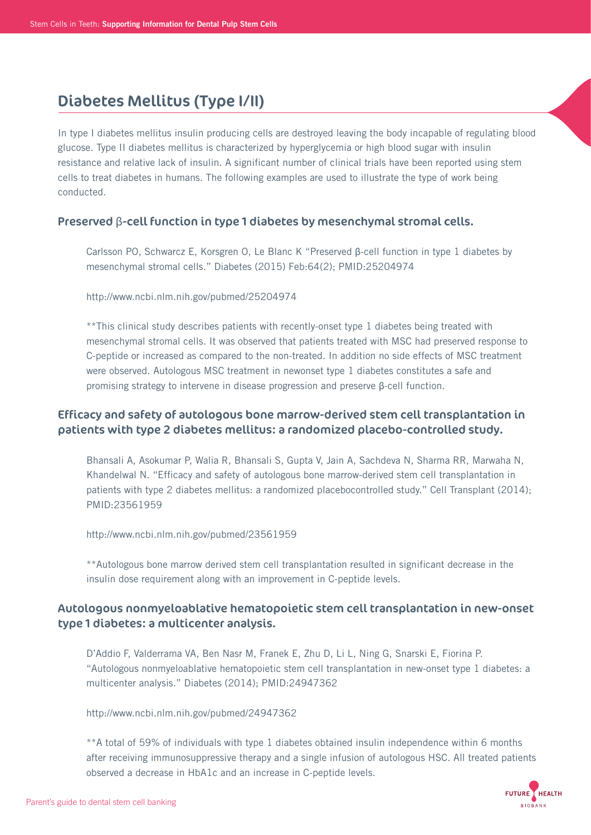## Diabetes Mellitus (Type I/II)

In type I diabetes mellitus insulin producing cells are destroyed leaving the body incapable of regulating blood glucose. Type II diabetes mellitus is characterized by hyperglycemia or high blood sugar with insulin resistance and relative lack of insulin. A significant number of clinical trials have been reported using stem cells to treat diabetes in humans. The following examples are used to illustrate the type of work being conducted.

### Preserved β-cell function in type 1 diabetes by mesenchymal stromal cells.

 Carlsson PO, Schwarcz E, Korsgren O, Le Blanc K "Preserved β-cell function in type 1 diabetes by mesenchymal stromal cells." Diabetes (2015) Feb:64(2); PMID:25204974

http://www.ncbi.nlm.nih.gov/pubmed/25204974

 \*\*This clinical study describes patients with recently-onset type 1 diabetes being treated with mesenchymal stromal cells. It was observed that patients treated with MSC had preserved response to C-peptide or increased as compared to the non-treated. In addition no side effects of MSC treatment were observed. Autologous MSC treatment in newonset type 1 diabetes constitutes a safe and promising strategy to intervene in disease progression and preserve β-cell function.

## Efficacy and safety of autologous bone marrow-derived stem cell transplantation in patients with type 2 diabetes mellitus: a randomized placebo-controlled study.

 Bhansali A, Asokumar P, Walia R, Bhansali S, Gupta V, Jain A, Sachdeva N, Sharma RR, Marwaha N, Khandelwal N. "Efficacy and safety of autologous bone marrow-derived stem cell transplantation in patients with type 2 diabetes mellitus: a randomized placebocontrolled study." Cell Transplant (2014); PMID:23561959

http://www.ncbi.nlm.nih.gov/pubmed/23561959

 \*\*Autologous bone marrow derived stem cell transplantation resulted in significant decrease in the insulin dose requirement along with an improvement in C-peptide levels.

## Autologous nonmyeloablative hematopoietic stem cell transplantation in new-onset type 1 diabetes: a multicenter analysis.

 D'Addio F, Valderrama VA, Ben Nasr M, Franek E, Zhu D, Li L, Ning G, Snarski E, Fiorina P. "Autologous nonmyeloablative hematopoietic stem cell transplantation in new-onset type 1 diabetes: a multicenter analysis." Diabetes (2014); PMID:24947362

http://www.ncbi.nlm.nih.gov/pubmed/24947362

 \*\*A total of 59% of individuals with type 1 diabetes obtained insulin independence within 6 months after receiving immunosuppressive therapy and a single infusion of autologous HSC. All treated patients observed a decrease in HbA1c and an increase in C-peptide levels.

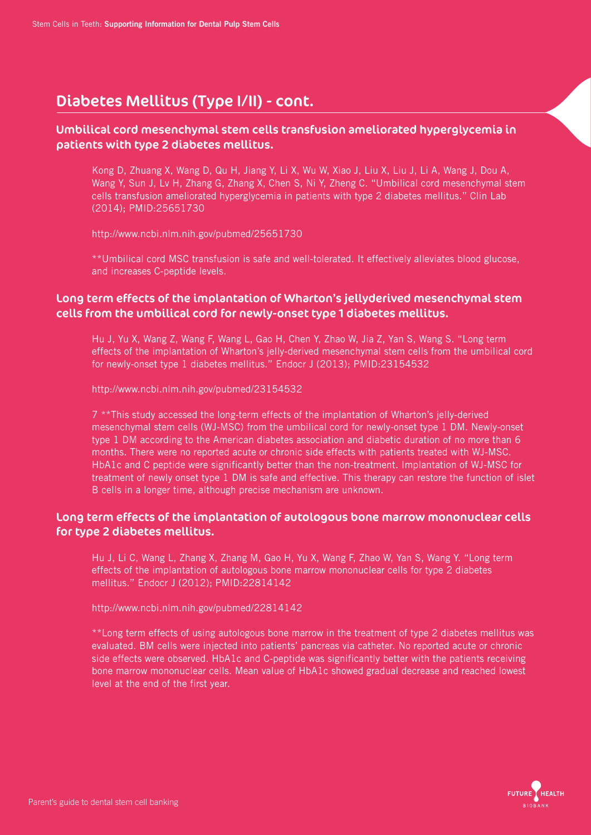# Diabetes Mellitus (Type I/II) - cont.

## Umbilical cord mesenchymal stem cells transfusion ameliorated hyperglycemia in patients with type 2 diabetes mellitus.

 Kong D, Zhuang X, Wang D, Qu H, Jiang Y, Li X, Wu W, Xiao J, Liu X, Liu J, Li A, Wang J, Dou A, Wang Y, Sun J, Lv H, Zhang G, Zhang X, Chen S, Ni Y, Zheng C. "Umbilical cord mesenchymal stem cells transfusion ameliorated hyperglycemia in patients with type 2 diabetes mellitus." Clin Lab (2014); PMID:25651730

http://www.ncbi.nlm.nih.gov/pubmed/25651730

 \*\*Umbilical cord MSC transfusion is safe and well-tolerated. It effectively alleviates blood glucose, and increases C-peptide levels.

## Long term effects of the implantation of Wharton's jellyderived mesenchymal stem cells from the umbilical cord for newly-onset type 1 diabetes mellitus.

 Hu J, Yu X, Wang Z, Wang F, Wang L, Gao H, Chen Y, Zhao W, Jia Z, Yan S, Wang S. "Long term effects of the implantation of Wharton's jelly-derived mesenchymal stem cells from the umbilical cord for newly-onset type 1 diabetes mellitus." Endocr J (2013); PMID:23154532

http://www.ncbi.nlm.nih.gov/pubmed/23154532

 7 \*\*This study accessed the long-term effects of the implantation of Wharton's jelly-derived mesenchymal stem cells (WJ-MSC) from the umbilical cord for newly-onset type 1 DM. Newly-onset type 1 DM according to the American diabetes association and diabetic duration of no more than 6 months. There were no reported acute or chronic side effects with patients treated with WJ-MSC. HbA1c and C peptide were significantly better than the non-treatment. Implantation of WJ-MSC for treatment of newly onset type 1 DM is safe and effective. This therapy can restore the function of islet B cells in a longer time, although precise mechanism are unknown.

## Long term effects of the implantation of autologous bone marrow mononuclear cells for type 2 diabetes mellitus.

 Hu J, Li C, Wang L, Zhang X, Zhang M, Gao H, Yu X, Wang F, Zhao W, Yan S, Wang Y. "Long term effects of the implantation of autologous bone marrow mononuclear cells for type 2 diabetes mellitus." Endocr J (2012); PMID:22814142

http://www.ncbi.nlm.nih.gov/pubmed/22814142

 \*\*Long term effects of using autologous bone marrow in the treatment of type 2 diabetes mellitus was evaluated. BM cells were injected into patients' pancreas via catheter. No reported acute or chronic side effects were observed. HbA1c and C-peptide was significantly better with the patients receiving bone marrow mononuclear cells. Mean value of HbA1c showed gradual decrease and reached lowest level at the end of the first year.

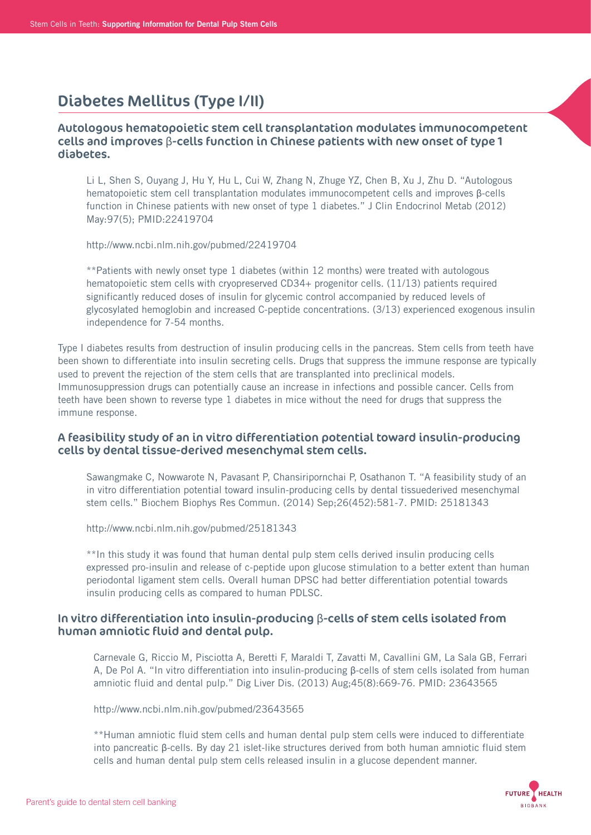# Diabetes Mellitus (Type I/II)

### Autologous hematopoietic stem cell transplantation modulates immunocompetent cells and improves β-cells function in Chinese patients with new onset of type 1 diabetes.

 Li L, Shen S, Ouyang J, Hu Y, Hu L, Cui W, Zhang N, Zhuge YZ, Chen B, Xu J, Zhu D. "Autologous hematopoietic stem cell transplantation modulates immunocompetent cells and improves β-cells function in Chinese patients with new onset of type 1 diabetes." J Clin Endocrinol Metab (2012) May:97(5); PMID:22419704

http://www.ncbi.nlm.nih.gov/pubmed/22419704

 \*\*Patients with newly onset type 1 diabetes (within 12 months) were treated with autologous hematopoietic stem cells with cryopreserved CD34+ progenitor cells. (11/13) patients required significantly reduced doses of insulin for glycemic control accompanied by reduced levels of glycosylated hemoglobin and increased C-peptide concentrations. (3/13) experienced exogenous insulin independence for 7-54 months.

Type I diabetes results from destruction of insulin producing cells in the pancreas. Stem cells from teeth have been shown to differentiate into insulin secreting cells. Drugs that suppress the immune response are typically used to prevent the rejection of the stem cells that are transplanted into preclinical models. Immunosuppression drugs can potentially cause an increase in infections and possible cancer. Cells from teeth have been shown to reverse type 1 diabetes in mice without the need for drugs that suppress the immune response.

### A feasibility study of an in vitro differentiation potential toward insulin-producing cells by dental tissue-derived mesenchymal stem cells.

 Sawangmake C, Nowwarote N, Pavasant P, Chansiripornchai P, Osathanon T. "A feasibility study of an in vitro differentiation potential toward insulin-producing cells by dental tissuederived mesenchymal stem cells." Biochem Biophys Res Commun. (2014) Sep;26(452):581-7. PMID: 25181343

http://www.ncbi.nlm.nih.gov/pubmed/25181343

 \*\*In this study it was found that human dental pulp stem cells derived insulin producing cells expressed pro-insulin and release of c-peptide upon glucose stimulation to a better extent than human periodontal ligament stem cells. Overall human DPSC had better differentiation potential towards insulin producing cells as compared to human PDLSC.

### In vitro differentiation into insulin-producing β-cells of stem cells isolated from human amniotic fluid and dental pulp.

 Carnevale G, Riccio M, Pisciotta A, Beretti F, Maraldi T, Zavatti M, Cavallini GM, La Sala GB, Ferrari A, De Pol A. "In vitro differentiation into insulin-producing β-cells of stem cells isolated from human amniotic fluid and dental pulp." Dig Liver Dis. (2013) Aug;45(8):669-76. PMID: 23643565

http://www.ncbi.nlm.nih.gov/pubmed/23643565

 \*\*Human amniotic fluid stem cells and human dental pulp stem cells were induced to differentiate into pancreatic β-cells. By day 21 islet-like structures derived from both human amniotic fluid stem cells and human dental pulp stem cells released insulin in a glucose dependent manner.

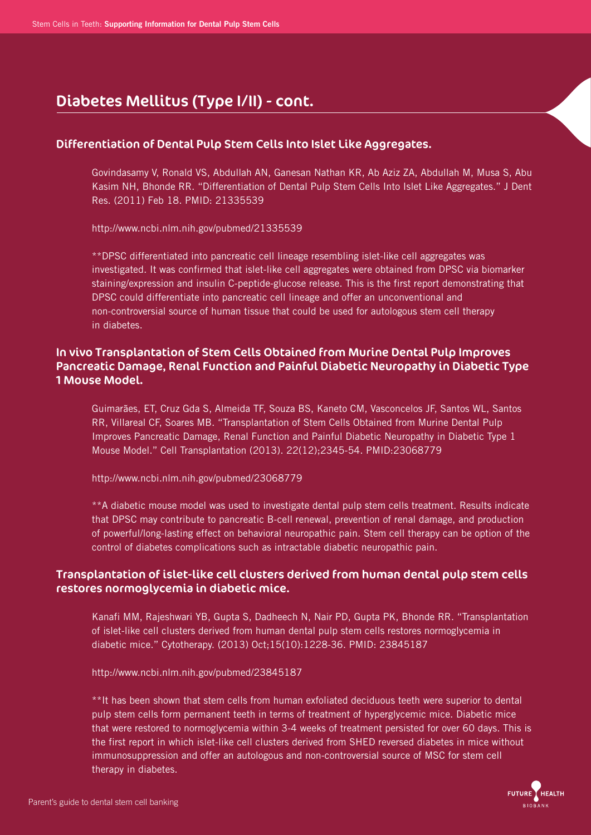# Diabetes Mellitus (Type I/II) - cont.

## Differentiation of Dental Pulp Stem Cells Into Islet Like Aggregates.

 Govindasamy V, Ronald VS, Abdullah AN, Ganesan Nathan KR, Ab Aziz ZA, Abdullah M, Musa S, Abu Kasim NH, Bhonde RR. "Differentiation of Dental Pulp Stem Cells Into Islet Like Aggregates." J Dent Res. (2011) Feb 18. PMID: 21335539

http://www.ncbi.nlm.nih.gov/pubmed/21335539

 \*\*DPSC differentiated into pancreatic cell lineage resembling islet-like cell aggregates was investigated. It was confirmed that islet-like cell aggregates were obtained from DPSC via biomarker staining/expression and insulin C-peptide-glucose release. This is the first report demonstrating that DPSC could differentiate into pancreatic cell lineage and offer an unconventional and non-controversial source of human tissue that could be used for autologous stem cell therapy in diabetes.

## In vivo Transplantation of Stem Cells Obtained from Murine Dental Pulp Improves Pancreatic Damage, Renal Function and Painful Diabetic Neuropathy in Diabetic Type 1 Mouse Model.

 Guimarães, ET, Cruz Gda S, Almeida TF, Souza BS, Kaneto CM, Vasconcelos JF, Santos WL, Santos RR, Villareal CF, Soares MB. "Transplantation of Stem Cells Obtained from Murine Dental Pulp Improves Pancreatic Damage, Renal Function and Painful Diabetic Neuropathy in Diabetic Type 1 Mouse Model." Cell Transplantation (2013). 22(12);2345-54. PMID:23068779

http://www.ncbi.nlm.nih.gov/pubmed/23068779

 \*\*A diabetic mouse model was used to investigate dental pulp stem cells treatment. Results indicate that DPSC may contribute to pancreatic B-cell renewal, prevention of renal damage, and production of powerful/long-lasting effect on behavioral neuropathic pain. Stem cell therapy can be option of the control of diabetes complications such as intractable diabetic neuropathic pain.

## Transplantation of islet-like cell clusters derived from human dental pulp stem cells restores normoglycemia in diabetic mice.

 Kanafi MM, Rajeshwari YB, Gupta S, Dadheech N, Nair PD, Gupta PK, Bhonde RR. "Transplantation of islet-like cell clusters derived from human dental pulp stem cells restores normoglycemia in diabetic mice." Cytotherapy. (2013) Oct;15(10):1228-36. PMID: 23845187

http://www.ncbi.nlm.nih.gov/pubmed/23845187

 \*\*It has been shown that stem cells from human exfoliated deciduous teeth were superior to dental pulp stem cells form permanent teeth in terms of treatment of hyperglycemic mice. Diabetic mice that were restored to normoglycemia within 3-4 weeks of treatment persisted for over 60 days. This is the first report in which islet-like cell clusters derived from SHED reversed diabetes in mice without immunosuppression and offer an autologous and non-controversial source of MSC for stem cell therapy in diabetes.

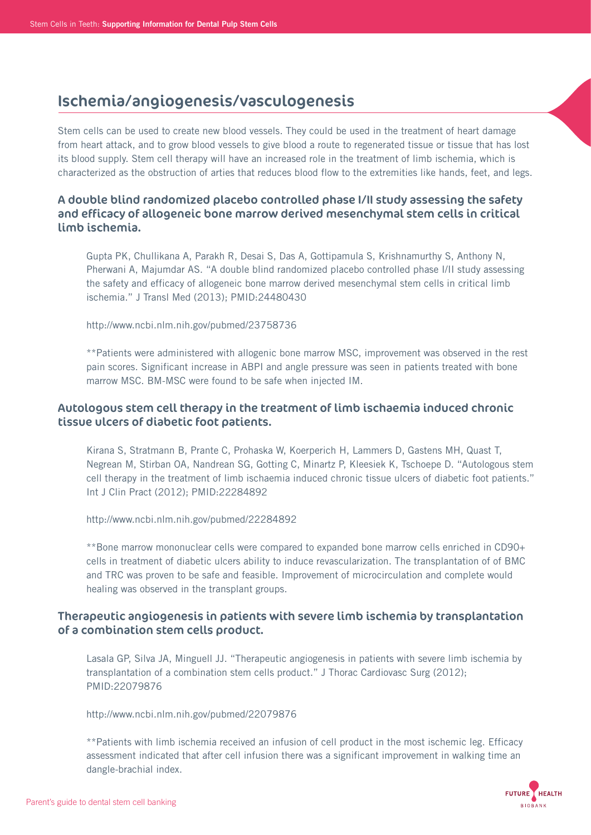## Ischemia/angiogenesis/vasculogenesis

Stem cells can be used to create new blood vessels. They could be used in the treatment of heart damage from heart attack, and to grow blood vessels to give blood a route to regenerated tissue or tissue that has lost its blood supply. Stem cell therapy will have an increased role in the treatment of limb ischemia, which is characterized as the obstruction of arties that reduces blood flow to the extremities like hands, feet, and legs.

## A double blind randomized placebo controlled phase I/II study assessing the safety and efficacy of allogeneic bone marrow derived mesenchymal stem cells in critical limb ischemia.

 Gupta PK, Chullikana A, Parakh R, Desai S, Das A, Gottipamula S, Krishnamurthy S, Anthony N, Pherwani A, Majumdar AS. "A double blind randomized placebo controlled phase I/II study assessing the safety and efficacy of allogeneic bone marrow derived mesenchymal stem cells in critical limb ischemia." J Transl Med (2013); PMID:24480430

http://www.ncbi.nlm.nih.gov/pubmed/23758736

 \*\*Patients were administered with allogenic bone marrow MSC, improvement was observed in the rest pain scores. Significant increase in ABPI and angle pressure was seen in patients treated with bone marrow MSC. BM-MSC were found to be safe when injected IM.

## Autologous stem cell therapy in the treatment of limb ischaemia induced chronic tissue ulcers of diabetic foot patients.

 Kirana S, Stratmann B, Prante C, Prohaska W, Koerperich H, Lammers D, Gastens MH, Quast T, Negrean M, Stirban OA, Nandrean SG, Gotting C, Minartz P, Kleesiek K, Tschoepe D. "Autologous stem cell therapy in the treatment of limb ischaemia induced chronic tissue ulcers of diabetic foot patients." Int J Clin Pract (2012); PMID:22284892

http://www.ncbi.nlm.nih.gov/pubmed/22284892

 \*\*Bone marrow mononuclear cells were compared to expanded bone marrow cells enriched in CD90+ cells in treatment of diabetic ulcers ability to induce revascularization. The transplantation of of BMC and TRC was proven to be safe and feasible. Improvement of microcirculation and complete would healing was observed in the transplant groups.

## Therapeutic angiogenesis in patients with severe limb ischemia by transplantation of a combination stem cells product.

 Lasala GP, Silva JA, Minguell JJ. "Therapeutic angiogenesis in patients with severe limb ischemia by transplantation of a combination stem cells product." J Thorac Cardiovasc Surg (2012); PMID:22079876

http://www.ncbi.nlm.nih.gov/pubmed/22079876

 \*\*Patients with limb ischemia received an infusion of cell product in the most ischemic leg. Efficacy assessment indicated that after cell infusion there was a significant improvement in walking time an dangle-brachial index.

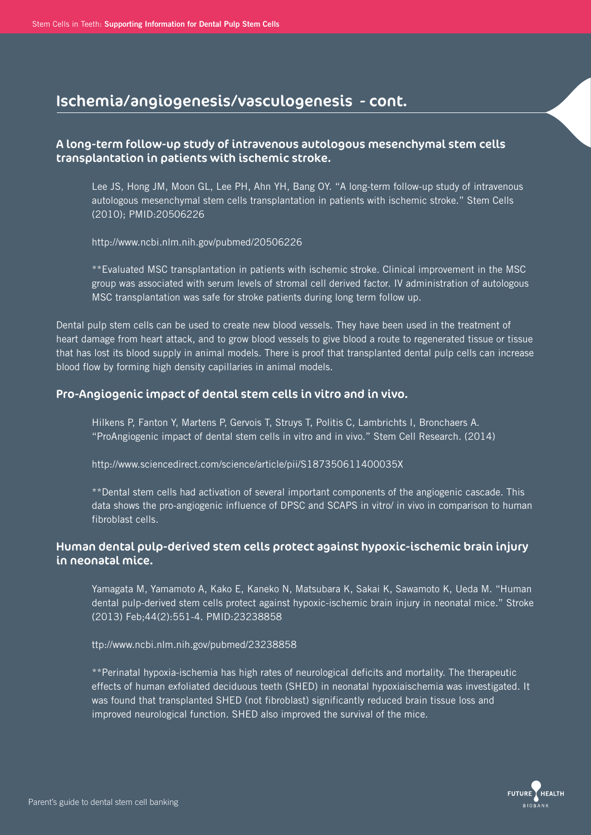# Ischemia/angiogenesis/vasculogenesis - cont.

## A long-term follow-up study of intravenous autologous mesenchymal stem cells transplantation in patients with ischemic stroke.

 Lee JS, Hong JM, Moon GL, Lee PH, Ahn YH, Bang OY. "A long-term follow-up study of intravenous autologous mesenchymal stem cells transplantation in patients with ischemic stroke." Stem Cells (2010); PMID:20506226

http://www.ncbi.nlm.nih.gov/pubmed/20506226

 \*\*Evaluated MSC transplantation in patients with ischemic stroke. Clinical improvement in the MSC group was associated with serum levels of stromal cell derived factor. IV administration of autologous MSC transplantation was safe for stroke patients during long term follow up.

Dental pulp stem cells can be used to create new blood vessels. They have been used in the treatment of heart damage from heart attack, and to grow blood vessels to give blood a route to regenerated tissue or tissue that has lost its blood supply in animal models. There is proof that transplanted dental pulp cells can increase blood flow by forming high density capillaries in animal models.

### Pro-Angiogenic impact of dental stem cells in vitro and in vivo.

 Hilkens P, Fanton Y, Martens P, Gervois T, Struys T, Politis C, Lambrichts I, Bronchaers A. "ProAngiogenic impact of dental stem cells in vitro and in vivo." Stem Cell Research. (2014)

http://www.sciencedirect.com/science/article/pii/S187350611400035X

 \*\*Dental stem cells had activation of several important components of the angiogenic cascade. This data shows the pro-angiogenic influence of DPSC and SCAPS in vitro/ in vivo in comparison to human fibroblast cells.

## Human dental pulp-derived stem cells protect against hypoxic-ischemic brain injury in neonatal mice.

 Yamagata M, Yamamoto A, Kako E, Kaneko N, Matsubara K, Sakai K, Sawamoto K, Ueda M. "Human dental pulp-derived stem cells protect against hypoxic-ischemic brain injury in neonatal mice." Stroke (2013) Feb;44(2):551-4. PMID:23238858

ttp://www.ncbi.nlm.nih.gov/pubmed/23238858

 \*\*Perinatal hypoxia-ischemia has high rates of neurological deficits and mortality. The therapeutic effects of human exfoliated deciduous teeth (SHED) in neonatal hypoxiaischemia was investigated. It was found that transplanted SHED (not fibroblast) significantly reduced brain tissue loss and improved neurological function. SHED also improved the survival of the mice.

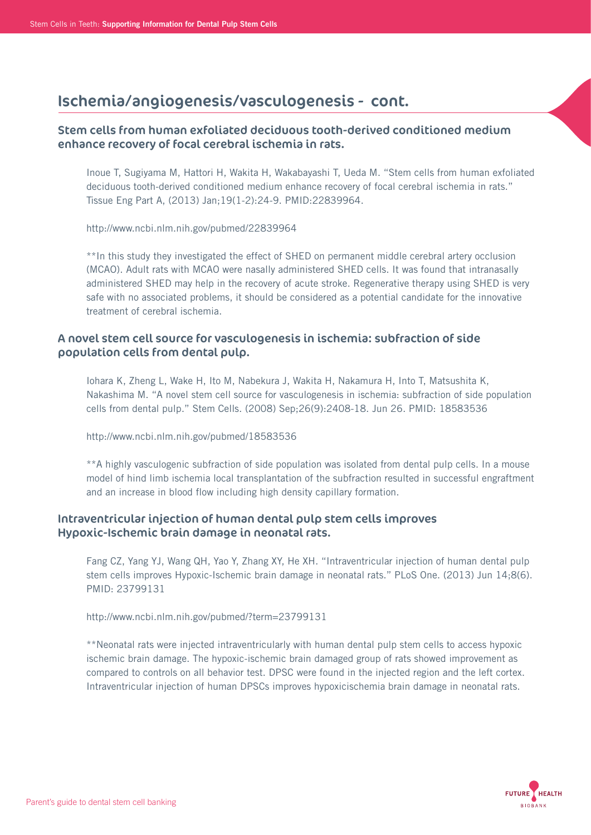# Ischemia/angiogenesis/vasculogenesis - cont.

## Stem cells from human exfoliated deciduous tooth-derived conditioned medium enhance recovery of focal cerebral ischemia in rats.

 Inoue T, Sugiyama M, Hattori H, Wakita H, Wakabayashi T, Ueda M. "Stem cells from human exfoliated deciduous tooth-derived conditioned medium enhance recovery of focal cerebral ischemia in rats." Tissue Eng Part A, (2013) Jan;19(1-2):24-9. PMID:22839964.

http://www.ncbi.nlm.nih.gov/pubmed/22839964

 \*\*In this study they investigated the effect of SHED on permanent middle cerebral artery occlusion (MCAO). Adult rats with MCAO were nasally administered SHED cells. It was found that intranasally administered SHED may help in the recovery of acute stroke. Regenerative therapy using SHED is very safe with no associated problems, it should be considered as a potential candidate for the innovative treatment of cerebral ischemia.

## A novel stem cell source for vasculogenesis in ischemia: subfraction of side population cells from dental pulp.

 Iohara K, Zheng L, Wake H, Ito M, Nabekura J, Wakita H, Nakamura H, Into T, Matsushita K, Nakashima M. "A novel stem cell source for vasculogenesis in ischemia: subfraction of side population cells from dental pulp." Stem Cells. (2008) Sep;26(9):2408-18. Jun 26. PMID: 18583536

http://www.ncbi.nlm.nih.gov/pubmed/18583536

 \*\*A highly vasculogenic subfraction of side population was isolated from dental pulp cells. In a mouse model of hind limb ischemia local transplantation of the subfraction resulted in successful engraftment and an increase in blood flow including high density capillary formation.

## Intraventricular injection of human dental pulp stem cells improves Hypoxic-Ischemic brain damage in neonatal rats.

 Fang CZ, Yang YJ, Wang QH, Yao Y, Zhang XY, He XH. "Intraventricular injection of human dental pulp stem cells improves Hypoxic-Ischemic brain damage in neonatal rats." PLoS One. (2013) Jun 14;8(6). PMID: 23799131

http://www.ncbi.nlm.nih.gov/pubmed/?term=23799131

 \*\*Neonatal rats were injected intraventricularly with human dental pulp stem cells to access hypoxic ischemic brain damage. The hypoxic-ischemic brain damaged group of rats showed improvement as compared to controls on all behavior test. DPSC were found in the injected region and the left cortex. Intraventricular injection of human DPSCs improves hypoxicischemia brain damage in neonatal rats.

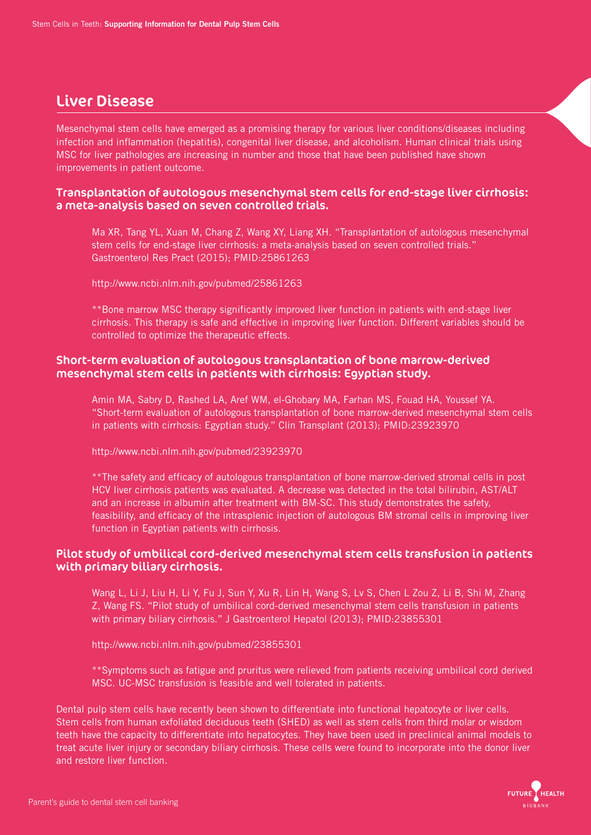## Liver Disease

Mesenchymal stem cells have emerged as a promising therapy for various liver conditions/diseases including infection and inflammation (hepatitis), congenital liver disease, and alcoholism. Human clinical trials using MSC for liver pathologies are increasing in number and those that have been published have shown improvements in patient outcome.

### Transplantation of autologous mesenchymal stem cells for end-stage liver cirrhosis: a meta-analysis based on seven controlled trials.

 Ma XR, Tang YL, Xuan M, Chang Z, Wang XY, Liang XH. "Transplantation of autologous mesenchymal stem cells for end-stage liver cirrhosis: a meta-analysis based on seven controlled trials." Gastroenterol Res Pract (2015); PMID:25861263

http://www.ncbi.nlm.nih.gov/pubmed/25861263

 \*\*Bone marrow MSC therapy significantly improved liver function in patients with end-stage liver cirrhosis. This therapy is safe and effective in improving liver function. Different variables should be controlled to optimize the therapeutic effects.

### Short-term evaluation of autologous transplantation of bone marrow-derived mesenchymal stem cells in patients with cirrhosis: Egyptian study.

 Amin MA, Sabry D, Rashed LA, Aref WM, el-Ghobary MA, Farhan MS, Fouad HA, Youssef YA. "Short-term evaluation of autologous transplantation of bone marrow-derived mesenchymal stem cells in patients with cirrhosis: Egyptian study." Clin Transplant (2013); PMID:23923970

http://www.ncbi.nlm.nih.gov/pubmed/23923970

 \*\*The safety and efficacy of autologous transplantation of bone marrow-derived stromal cells in post HCV liver cirrhosis patients was evaluated. A decrease was detected in the total bilirubin, AST/ALT and an increase in albumin after treatment with BM-SC. This study demonstrates the safety, feasibility, and efficacy of the intrasplenic injection of autologous BM stromal cells in improving liver function in Egyptian patients with cirrhosis.

## Pilot study of umbilical cord-derived mesenchymal stem cells transfusion in patients with primary biliary cirrhosis.

 Wang L, Li J, Liu H, Li Y, Fu J, Sun Y, Xu R, Lin H, Wang S, Lv S, Chen L Zou Z, Li B, Shi M, Zhang Z, Wang FS. "Pilot study of umbilical cord-derived mesenchymal stem cells transfusion in patients with primary biliary cirrhosis." J Gastroenterol Hepatol (2013); PMID:23855301

http://www.ncbi.nlm.nih.gov/pubmed/23855301

 \*\*Symptoms such as fatigue and pruritus were relieved from patients receiving umbilical cord derived MSC. UC-MSC transfusion is feasible and well tolerated in patients.

Dental pulp stem cells have recently been shown to differentiate into functional hepatocyte or liver cells. Stem cells from human exfoliated deciduous teeth (SHED) as well as stem cells from third molar or wisdom teeth have the capacity to differentiate into hepatocytes. They have been used in preclinical animal models to treat acute liver injury or secondary biliary cirrhosis. These cells were found to incorporate into the donor liver and restore liver function.

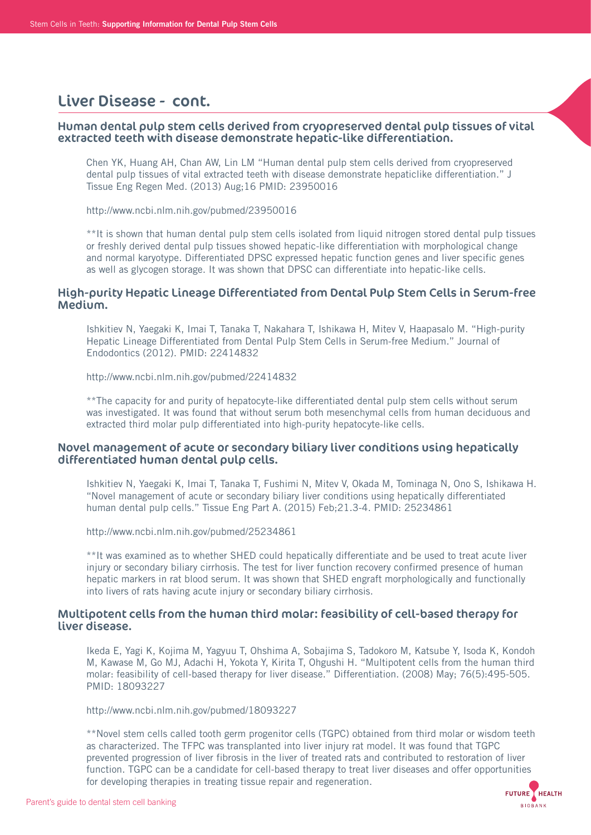## Liver Disease - cont.

### Human dental pulp stem cells derived from cryopreserved dental pulp tissues of vital extracted teeth with disease demonstrate hepatic-like differentiation.

 Chen YK, Huang AH, Chan AW, Lin LM "Human dental pulp stem cells derived from cryopreserved dental pulp tissues of vital extracted teeth with disease demonstrate hepaticlike differentiation." J Tissue Eng Regen Med. (2013) Aug;16 PMID: 23950016

http://www.ncbi.nlm.nih.gov/pubmed/23950016

 \*\*It is shown that human dental pulp stem cells isolated from liquid nitrogen stored dental pulp tissues or freshly derived dental pulp tissues showed hepatic-like differentiation with morphological change and normal karyotype. Differentiated DPSC expressed hepatic function genes and liver specific genes as well as glycogen storage. It was shown that DPSC can differentiate into hepatic-like cells.

#### High-purity Hepatic Lineage Differentiated from Dental Pulp Stem Cells in Serum-free Medium.

 Ishkitiev N, Yaegaki K, Imai T, Tanaka T, Nakahara T, Ishikawa H, Mitev V, Haapasalo M. "High-purity Hepatic Lineage Differentiated from Dental Pulp Stem Cells in Serum-free Medium." Journal of Endodontics (2012). PMID: 22414832

http://www.ncbi.nlm.nih.gov/pubmed/22414832

 \*\*The capacity for and purity of hepatocyte-like differentiated dental pulp stem cells without serum was investigated. It was found that without serum both mesenchymal cells from human deciduous and extracted third molar pulp differentiated into high-purity hepatocyte-like cells.

### Novel management of acute or secondary biliary liver conditions using hepatically differentiated human dental pulp cells.

 Ishkitiev N, Yaegaki K, Imai T, Tanaka T, Fushimi N, Mitev V, Okada M, Tominaga N, Ono S, Ishikawa H. "Novel management of acute or secondary biliary liver conditions using hepatically differentiated human dental pulp cells." Tissue Eng Part A. (2015) Feb;21.3-4. PMID: 25234861

http://www.ncbi.nlm.nih.gov/pubmed/25234861

 \*\*It was examined as to whether SHED could hepatically differentiate and be used to treat acute liver injury or secondary biliary cirrhosis. The test for liver function recovery confirmed presence of human hepatic markers in rat blood serum. It was shown that SHED engraft morphologically and functionally into livers of rats having acute injury or secondary biliary cirrhosis.

### Multipotent cells from the human third molar: feasibility of cell-based therapy for liver disease.

 Ikeda E, Yagi K, Kojima M, Yagyuu T, Ohshima A, Sobajima S, Tadokoro M, Katsube Y, Isoda K, Kondoh M, Kawase M, Go MJ, Adachi H, Yokota Y, Kirita T, Ohgushi H. "Multipotent cells from the human third molar: feasibility of cell-based therapy for liver disease." Differentiation. (2008) May; 76(5):495-505. PMID: 18093227

http://www.ncbi.nlm.nih.gov/pubmed/18093227

 \*\*Novel stem cells called tooth germ progenitor cells (TGPC) obtained from third molar or wisdom teeth as characterized. The TFPC was transplanted into liver injury rat model. It was found that TGPC prevented progression of liver fibrosis in the liver of treated rats and contributed to restoration of liver function. TGPC can be a candidate for cell-based therapy to treat liver diseases and offer opportunities for developing therapies in treating tissue repair and regeneration.

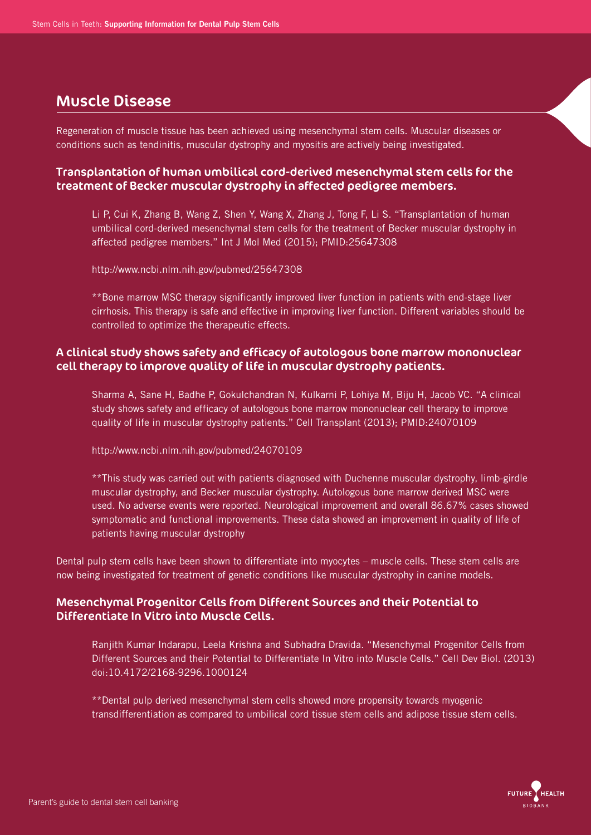# Muscle Disease

Regeneration of muscle tissue has been achieved using mesenchymal stem cells. Muscular diseases or conditions such as tendinitis, muscular dystrophy and myositis are actively being investigated.

## Transplantation of human umbilical cord-derived mesenchymal stem cells for the treatment of Becker muscular dystrophy in affected pedigree members.

 Li P, Cui K, Zhang B, Wang Z, Shen Y, Wang X, Zhang J, Tong F, Li S. "Transplantation of human umbilical cord-derived mesenchymal stem cells for the treatment of Becker muscular dystrophy in affected pedigree members." Int J Mol Med (2015); PMID:25647308

http://www.ncbi.nlm.nih.gov/pubmed/25647308

 \*\*Bone marrow MSC therapy significantly improved liver function in patients with end-stage liver cirrhosis. This therapy is safe and effective in improving liver function. Different variables should be controlled to optimize the therapeutic effects.

## A clinical study shows safety and efficacy of autologous bone marrow mononuclear cell therapy to improve quality of life in muscular dystrophy patients.

 Sharma A, Sane H, Badhe P, Gokulchandran N, Kulkarni P, Lohiya M, Biju H, Jacob VC. "A clinical study shows safety and efficacy of autologous bone marrow mononuclear cell therapy to improve quality of life in muscular dystrophy patients." Cell Transplant (2013); PMID:24070109

http://www.ncbi.nlm.nih.gov/pubmed/24070109

 \*\*This study was carried out with patients diagnosed with Duchenne muscular dystrophy, limb-girdle muscular dystrophy, and Becker muscular dystrophy. Autologous bone marrow derived MSC were used. No adverse events were reported. Neurological improvement and overall 86.67% cases showed symptomatic and functional improvements. These data showed an improvement in quality of life of patients having muscular dystrophy

Dental pulp stem cells have been shown to differentiate into myocytes – muscle cells. These stem cells are now being investigated for treatment of genetic conditions like muscular dystrophy in canine models.

## Mesenchymal Progenitor Cells from Different Sources and their Potential to Differentiate In Vitro into Muscle Cells.

 Ranjith Kumar Indarapu, Leela Krishna and Subhadra Dravida. "Mesenchymal Progenitor Cells from Different Sources and their Potential to Differentiate In Vitro into Muscle Cells." Cell Dev Biol. (2013) doi:10.4172/2168-9296.1000124

 \*\*Dental pulp derived mesenchymal stem cells showed more propensity towards myogenic transdifferentiation as compared to umbilical cord tissue stem cells and adipose tissue stem cells.

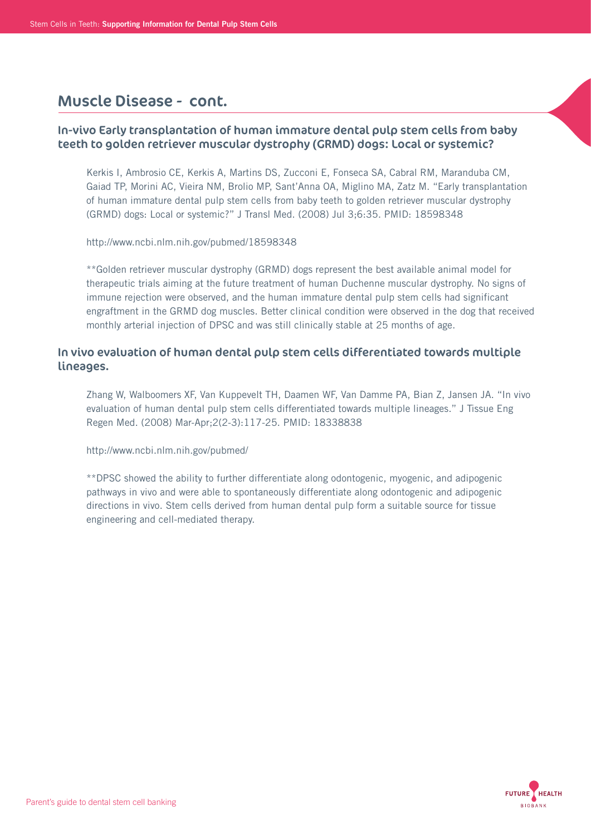## Muscle Disease - cont.

## In-vivo Early transplantation of human immature dental pulp stem cells from baby teeth to golden retriever muscular dystrophy (GRMD) dogs: Local or systemic?

 Kerkis I, Ambrosio CE, Kerkis A, Martins DS, Zucconi E, Fonseca SA, Cabral RM, Maranduba CM, Gaiad TP, Morini AC, Vieira NM, Brolio MP, Sant'Anna OA, Miglino MA, Zatz M. "Early transplantation of human immature dental pulp stem cells from baby teeth to golden retriever muscular dystrophy (GRMD) dogs: Local or systemic?" J Transl Med. (2008) Jul 3;6:35. PMID: 18598348

http://www.ncbi.nlm.nih.gov/pubmed/18598348

 \*\*Golden retriever muscular dystrophy (GRMD) dogs represent the best available animal model for therapeutic trials aiming at the future treatment of human Duchenne muscular dystrophy. No signs of immune rejection were observed, and the human immature dental pulp stem cells had significant engraftment in the GRMD dog muscles. Better clinical condition were observed in the dog that received monthly arterial injection of DPSC and was still clinically stable at 25 months of age.

### In vivo evaluation of human dental pulp stem cells differentiated towards multiple lineages.

 Zhang W, Walboomers XF, Van Kuppevelt TH, Daamen WF, Van Damme PA, Bian Z, Jansen JA. "In vivo evaluation of human dental pulp stem cells differentiated towards multiple lineages." J Tissue Eng Regen Med. (2008) Mar-Apr;2(2-3):117-25. PMID: 18338838

http://www.ncbi.nlm.nih.gov/pubmed/

 \*\*DPSC showed the ability to further differentiate along odontogenic, myogenic, and adipogenic pathways in vivo and were able to spontaneously differentiate along odontogenic and adipogenic directions in vivo. Stem cells derived from human dental pulp form a suitable source for tissue engineering and cell-mediated therapy.

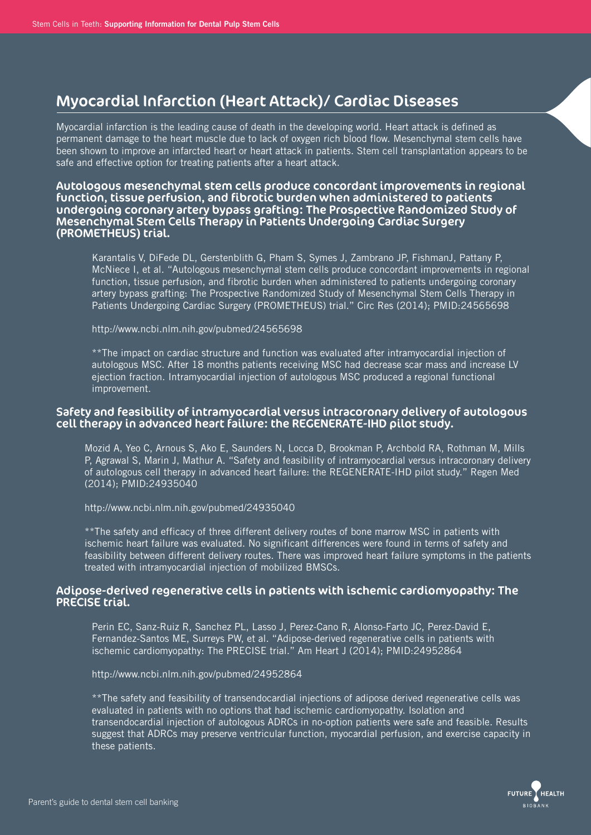# Myocardial Infarction (Heart Attack)/ Cardiac Diseases

Myocardial infarction is the leading cause of death in the developing world. Heart attack is defined as permanent damage to the heart muscle due to lack of oxygen rich blood flow. Mesenchymal stem cells have been shown to improve an infarcted heart or heart attack in patients. Stem cell transplantation appears to be safe and effective option for treating patients after a heart attack.

#### Autologous mesenchymal stem cells produce concordant improvements in regional function, tissue perfusion, and fibrotic burden when administered to patients undergoing coronary artery bypass grafting: The Prospective Randomized Study of Mesenchymal Stem Cells Therapy in Patients Undergoing Cardiac Surgery (PROMETHEUS) trial.

 Karantalis V, DiFede DL, Gerstenblith G, Pham S, Symes J, Zambrano JP, FishmanJ, Pattany P, McNiece I, et al. "Autologous mesenchymal stem cells produce concordant improvements in regional function, tissue perfusion, and fibrotic burden when administered to patients undergoing coronary artery bypass grafting: The Prospective Randomized Study of Mesenchymal Stem Cells Therapy in Patients Undergoing Cardiac Surgery (PROMETHEUS) trial." Circ Res (2014); PMID:24565698

http://www.ncbi.nlm.nih.gov/pubmed/24565698

 \*\*The impact on cardiac structure and function was evaluated after intramyocardial injection of autologous MSC. After 18 months patients receiving MSC had decrease scar mass and increase LV ejection fraction. Intramyocardial injection of autologous MSC produced a regional functional improvement.

### Safety and feasibility of intramyocardial versus intracoronary delivery of autologous cell therapy in advanced heart failure: the REGENERATE-IHD pilot study.

 Mozid A, Yeo C, Arnous S, Ako E, Saunders N, Locca D, Brookman P, Archbold RA, Rothman M, Mills P, Agrawal S, Marin J, Mathur A. "Safety and feasibility of intramyocardial versus intracoronary delivery of autologous cell therapy in advanced heart failure: the REGENERATE-IHD pilot study." Regen Med (2014); PMID:24935040

http://www.ncbi.nlm.nih.gov/pubmed/24935040

 \*\*The safety and efficacy of three different delivery routes of bone marrow MSC in patients with ischemic heart failure was evaluated. No significant differences were found in terms of safety and feasibility between different delivery routes. There was improved heart failure symptoms in the patients treated with intramyocardial injection of mobilized BMSCs.

### Adipose-derived regenerative cells in patients with ischemic cardiomyopathy: The PRECISE trial.

 Perin EC, Sanz-Ruiz R, Sanchez PL, Lasso J, Perez-Cano R, Alonso-Farto JC, Perez-David E, Fernandez-Santos ME, Surreys PW, et al. "Adipose-derived regenerative cells in patients with ischemic cardiomyopathy: The PRECISE trial." Am Heart J (2014); PMID:24952864

http://www.ncbi.nlm.nih.gov/pubmed/24952864

 \*\*The safety and feasibility of transendocardial injections of adipose derived regenerative cells was evaluated in patients with no options that had ischemic cardiomyopathy. Isolation and transendocardial injection of autologous ADRCs in no-option patients were safe and feasible. Results suggest that ADRCs may preserve ventricular function, myocardial perfusion, and exercise capacity in these patients.

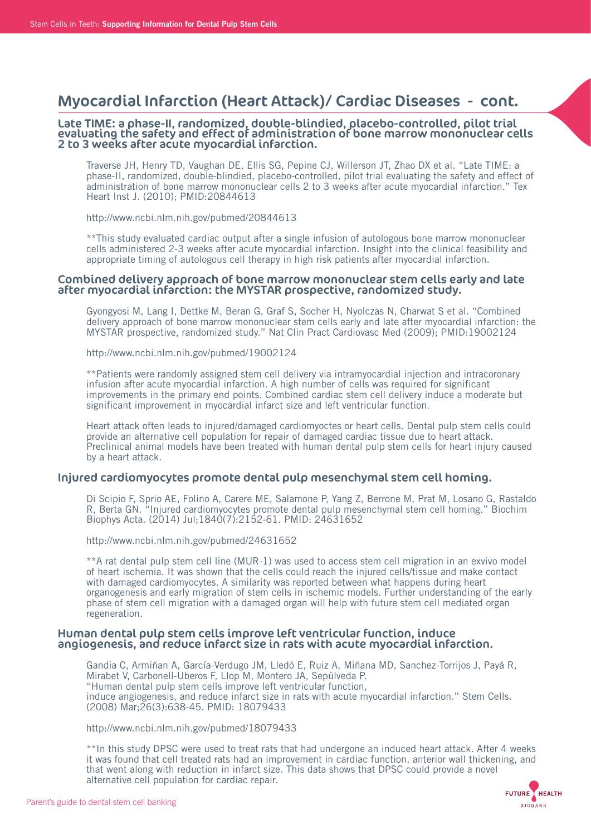## Myocardial Infarction (Heart Attack)/ Cardiac Diseases - cont.

#### Late TIME: a phase-II, randomized, double-blindied, placebo-controlled, pilot trial evaluating the safety and effect of administration of bone marrow mononuclear cells 2 to 3 weeks after acute myocardial infarction.

 Traverse JH, Henry TD, Vaughan DE, Ellis SG, Pepine CJ, Willerson JT, Zhao DX et al. "Late TIME: a phase-II, randomized, double-blindied, placebo-controlled, pilot trial evaluating the safety and effect of administration of bone marrow mononuclear cells 2 to 3 weeks after acute myocardial infarction." Tex Heart Inst J. (2010); PMID:20844613

http://www.ncbi.nlm.nih.gov/pubmed/20844613

 \*\*This study evaluated cardiac output after a single infusion of autologous bone marrow mononuclear cells administered 2-3 weeks after acute myocardial infarction. Insight into the clinical feasibility and appropriate timing of autologous cell therapy in high risk patients after myocardial infarction.

#### Combined delivery approach of bone marrow mononuclear stem cells early and late after myocardial infarction: the MYSTAR prospective, randomized study.

 Gyongyosi M, Lang I, Dettke M, Beran G, Graf S, Socher H, Nyolczas N, Charwat S et al. "Combined delivery approach of bone marrow mononuclear stem cells early and late after myocardial infarction: the MYSTAR prospective, randomized study." Nat Clin Pract Cardiovasc Med (2009); PMID:19002124

http://www.ncbi.nlm.nih.gov/pubmed/19002124

 \*\*Patients were randomly assigned stem cell delivery via intramyocardial injection and intracoronary infusion after acute myocardial infarction. A high number of cells was required for significant improvements in the primary end points. Combined cardiac stem cell delivery induce a moderate but significant improvement in myocardial infarct size and left ventricular function.

 Heart attack often leads to injured/damaged cardiomyoctes or heart cells. Dental pulp stem cells could provide an alternative cell population for repair of damaged cardiac tissue due to heart attack. Preclinical animal models have been treated with human dental pulp stem cells for heart injury caused by a heart attack.

#### Injured cardiomyocytes promote dental pulp mesenchymal stem cell homing.

 Di Scipio F, Sprio AE, Folino A, Carere ME, Salamone P, Yang Z, Berrone M, Prat M, Losano G, Rastaldo R, Berta GN. "Injured cardiomyocytes promote dental pulp mesenchymal stem cell homing." Biochim Biophys Acta. (2014) Jul;1840(7):2152-61. PMID: 24631652

http://www.ncbi.nlm.nih.gov/pubmed/24631652

 \*\*A rat dental pulp stem cell line (MUR-1) was used to access stem cell migration in an exvivo model of heart ischemia. It was shown that the cells could reach the injured cells/tissue and make contact with damaged cardiomyocytes. A similarity was reported between what happens during heart organogenesis and early migration of stem cells in ischemic models. Further understanding of the early phase of stem cell migration with a damaged organ will help with future stem cell mediated organ regeneration.

#### Human dental pulp stem cells improve left ventricular function, induce angiogenesis, and reduce infarct size in rats with acute myocardial infarction.

 Gandia C, Armiñan A, García-Verdugo JM, Lledó E, Ruiz A, Miñana MD, Sanchez-Torrijos J, Payá R, Mirabet V, Carbonell-Uberos F, Llop M, Montero JA, Sepúlveda P. "Human dental pulp stem cells improve left ventricular function, induce angiogenesis, and reduce infarct size in rats with acute myocardial infarction." Stem Cells. (2008) Mar;26(3):638-45. PMID: 18079433

http://www.ncbi.nlm.nih.gov/pubmed/18079433

 \*\*In this study DPSC were used to treat rats that had undergone an induced heart attack. After 4 weeks it was found that cell treated rats had an improvement in cardiac function, anterior wall thickening, and that went along with reduction in infarct size. This data shows that DPSC could provide a novel alternative cell population for cardiac repair.

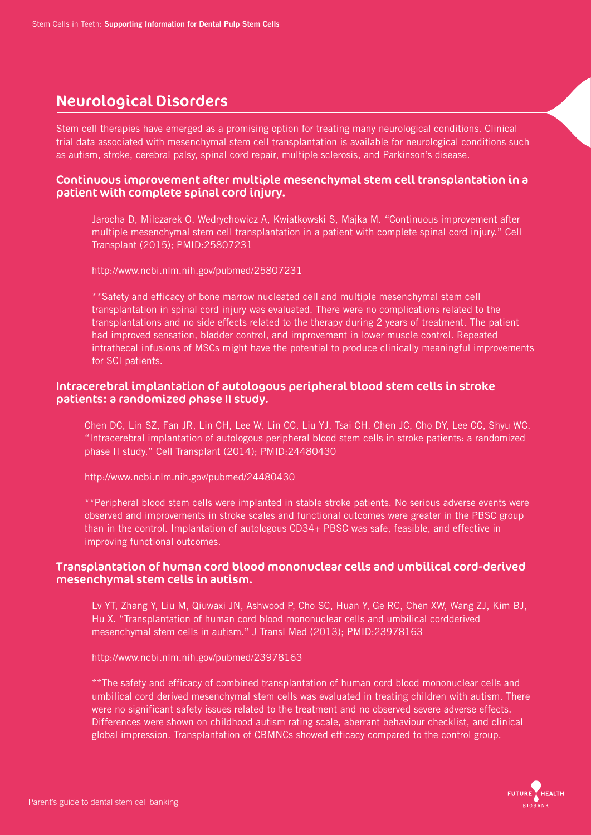# Neurological Disorders

Stem cell therapies have emerged as a promising option for treating many neurological conditions. Clinical trial data associated with mesenchymal stem cell transplantation is available for neurological conditions such as autism, stroke, cerebral palsy, spinal cord repair, multiple sclerosis, and Parkinson's disease.

### Continuous improvement after multiple mesenchymal stem cell transplantation in a patient with complete spinal cord injury.

 Jarocha D, Milczarek O, Wedrychowicz A, Kwiatkowski S, Majka M. "Continuous improvement after multiple mesenchymal stem cell transplantation in a patient with complete spinal cord injury." Cell Transplant (2015); PMID:25807231

http://www.ncbi.nlm.nih.gov/pubmed/25807231

 \*\*Safety and efficacy of bone marrow nucleated cell and multiple mesenchymal stem cell transplantation in spinal cord injury was evaluated. There were no complications related to the transplantations and no side effects related to the therapy during 2 years of treatment. The patient had improved sensation, bladder control, and improvement in lower muscle control. Repeated intrathecal infusions of MSCs might have the potential to produce clinically meaningful improvements for SCI patients.

### Intracerebral implantation of autologous peripheral blood stem cells in stroke patients: a randomized phase II study.

 Chen DC, Lin SZ, Fan JR, Lin CH, Lee W, Lin CC, Liu YJ, Tsai CH, Chen JC, Cho DY, Lee CC, Shyu WC. "Intracerebral implantation of autologous peripheral blood stem cells in stroke patients: a randomized phase II study." Cell Transplant (2014); PMID:24480430

http://www.ncbi.nlm.nih.gov/pubmed/24480430

 \*\*Peripheral blood stem cells were implanted in stable stroke patients. No serious adverse events were observed and improvements in stroke scales and functional outcomes were greater in the PBSC group than in the control. Implantation of autologous CD34+ PBSC was safe, feasible, and effective in improving functional outcomes.

### Transplantation of human cord blood mononuclear cells and umbilical cord-derived mesenchymal stem cells in autism.

 Lv YT, Zhang Y, Liu M, Qiuwaxi JN, Ashwood P, Cho SC, Huan Y, Ge RC, Chen XW, Wang ZJ, Kim BJ, Hu X. "Transplantation of human cord blood mononuclear cells and umbilical cordderived mesenchymal stem cells in autism." J Transl Med (2013); PMID:23978163

http://www.ncbi.nlm.nih.gov/pubmed/23978163

 \*\*The safety and efficacy of combined transplantation of human cord blood mononuclear cells and umbilical cord derived mesenchymal stem cells was evaluated in treating children with autism. There were no significant safety issues related to the treatment and no observed severe adverse effects. Differences were shown on childhood autism rating scale, aberrant behaviour checklist, and clinical global impression. Transplantation of CBMNCs showed efficacy compared to the control group.

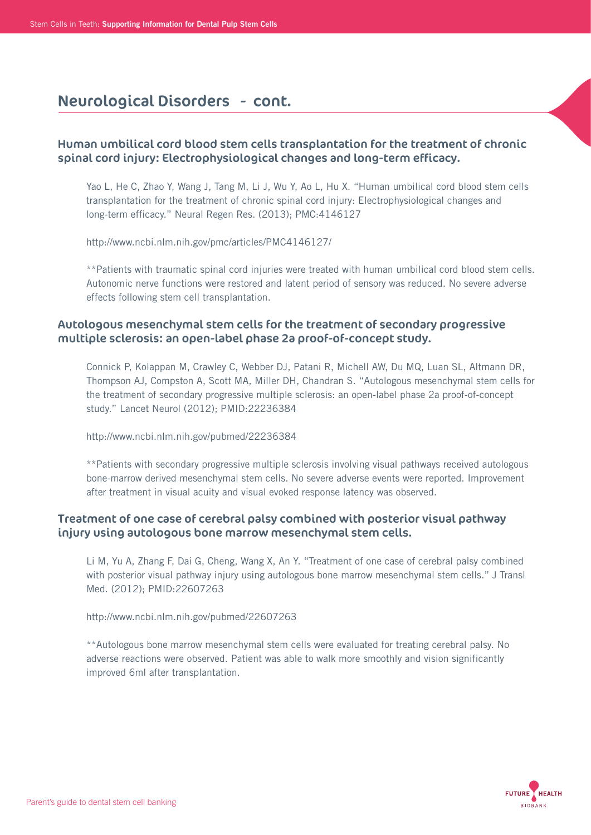## Human umbilical cord blood stem cells transplantation for the treatment of chronic spinal cord injury: Electrophysiological changes and long-term efficacy.

 Yao L, He C, Zhao Y, Wang J, Tang M, Li J, Wu Y, Ao L, Hu X. "Human umbilical cord blood stem cells transplantation for the treatment of chronic spinal cord injury: Electrophysiological changes and long-term efficacy." Neural Regen Res. (2013); PMC:4146127

http://www.ncbi.nlm.nih.gov/pmc/articles/PMC4146127/

 \*\*Patients with traumatic spinal cord injuries were treated with human umbilical cord blood stem cells. Autonomic nerve functions were restored and latent period of sensory was reduced. No severe adverse effects following stem cell transplantation.

## Autologous mesenchymal stem cells for the treatment of secondary progressive multiple sclerosis: an open-label phase 2a proof-of-concept study.

 Connick P, Kolappan M, Crawley C, Webber DJ, Patani R, Michell AW, Du MQ, Luan SL, Altmann DR, Thompson AJ, Compston A, Scott MA, Miller DH, Chandran S. "Autologous mesenchymal stem cells for the treatment of secondary progressive multiple sclerosis: an open-label phase 2a proof-of-concept study." Lancet Neurol (2012); PMID:22236384

http://www.ncbi.nlm.nih.gov/pubmed/22236384

 \*\*Patients with secondary progressive multiple sclerosis involving visual pathways received autologous bone-marrow derived mesenchymal stem cells. No severe adverse events were reported. Improvement after treatment in visual acuity and visual evoked response latency was observed.

## Treatment of one case of cerebral palsy combined with posterior visual pathway injury using autologous bone marrow mesenchymal stem cells.

 Li M, Yu A, Zhang F, Dai G, Cheng, Wang X, An Y. "Treatment of one case of cerebral palsy combined with posterior visual pathway injury using autologous bone marrow mesenchymal stem cells." J Transl Med. (2012); PMID:22607263

http://www.ncbi.nlm.nih.gov/pubmed/22607263

 \*\*Autologous bone marrow mesenchymal stem cells were evaluated for treating cerebral palsy. No adverse reactions were observed. Patient was able to walk more smoothly and vision significantly improved 6ml after transplantation.

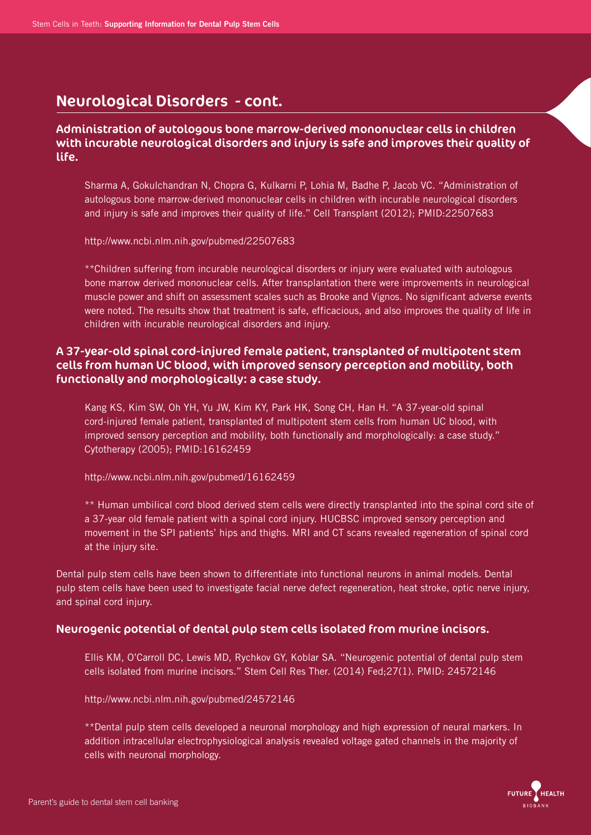## Administration of autologous bone marrow-derived mononuclear cells in children with incurable neurological disorders and injury is safe and improves their quality of life.

 Sharma A, Gokulchandran N, Chopra G, Kulkarni P, Lohia M, Badhe P, Jacob VC. "Administration of autologous bone marrow-derived mononuclear cells in children with incurable neurological disorders and injury is safe and improves their quality of life." Cell Transplant (2012); PMID:22507683

http://www.ncbi.nlm.nih.gov/pubmed/22507683

 \*\*Children suffering from incurable neurological disorders or injury were evaluated with autologous bone marrow derived mononuclear cells. After transplantation there were improvements in neurological muscle power and shift on assessment scales such as Brooke and Vignos. No significant adverse events were noted. The results show that treatment is safe, efficacious, and also improves the quality of life in children with incurable neurological disorders and injury.

## A 37-year-old spinal cord-injured female patient, transplanted of multipotent stem cells from human UC blood, with improved sensory perception and mobility, both functionally and morphologically: a case study.

 Kang KS, Kim SW, Oh YH, Yu JW, Kim KY, Park HK, Song CH, Han H. "A 37-year-old spinal cord-injured female patient, transplanted of multipotent stem cells from human UC blood, with improved sensory perception and mobility, both functionally and morphologically: a case study." Cytotherapy (2005); PMID:16162459

http://www.ncbi.nlm.nih.gov/pubmed/16162459

 \*\* Human umbilical cord blood derived stem cells were directly transplanted into the spinal cord site of a 37-year old female patient with a spinal cord injury. HUCBSC improved sensory perception and movement in the SPI patients' hips and thighs. MRI and CT scans revealed regeneration of spinal cord at the injury site.

Dental pulp stem cells have been shown to differentiate into functional neurons in animal models. Dental pulp stem cells have been used to investigate facial nerve defect regeneration, heat stroke, optic nerve injury, and spinal cord injury.

## Neurogenic potential of dental pulp stem cells isolated from murine incisors.

 Ellis KM, O'Carroll DC, Lewis MD, Rychkov GY, Koblar SA. "Neurogenic potential of dental pulp stem cells isolated from murine incisors." Stem Cell Res Ther. (2014) Fed;27(1). PMID: 24572146

### http://www.ncbi.nlm.nih.gov/pubmed/24572146

 \*\*Dental pulp stem cells developed a neuronal morphology and high expression of neural markers. In addition intracellular electrophysiological analysis revealed voltage gated channels in the majority of cells with neuronal morphology.

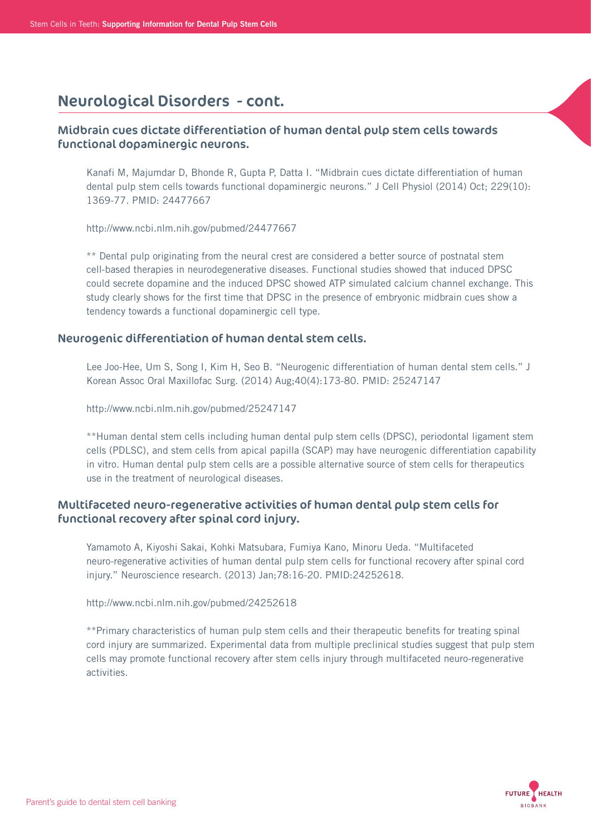## Midbrain cues dictate differentiation of human dental pulp stem cells towards functional dopaminergic neurons.

 Kanafi M, Majumdar D, Bhonde R, Gupta P, Datta I. "Midbrain cues dictate differentiation of human dental pulp stem cells towards functional dopaminergic neurons." J Cell Physiol (2014) Oct; 229(10): 1369-77. PMID: 24477667

http://www.ncbi.nlm.nih.gov/pubmed/24477667

 \*\* Dental pulp originating from the neural crest are considered a better source of postnatal stem cell-based therapies in neurodegenerative diseases. Functional studies showed that induced DPSC could secrete dopamine and the induced DPSC showed ATP simulated calcium channel exchange. This study clearly shows for the first time that DPSC in the presence of embryonic midbrain cues show a tendency towards a functional dopaminergic cell type.

### Neurogenic differentiation of human dental stem cells.

 Lee Joo-Hee, Um S, Song I, Kim H, Seo B. "Neurogenic differentiation of human dental stem cells." J Korean Assoc Oral Maxillofac Surg. (2014) Aug;40(4):173-80. PMID: 25247147

http://www.ncbi.nlm.nih.gov/pubmed/25247147

 \*\*Human dental stem cells including human dental pulp stem cells (DPSC), periodontal ligament stem cells (PDLSC), and stem cells from apical papilla (SCAP) may have neurogenic differentiation capability in vitro. Human dental pulp stem cells are a possible alternative source of stem cells for therapeutics use in the treatment of neurological diseases.

## Multifaceted neuro-regenerative activities of human dental pulp stem cells for functional recovery after spinal cord injury.

 Yamamoto A, Kiyoshi Sakai, Kohki Matsubara, Fumiya Kano, Minoru Ueda. "Multifaceted neuro-regenerative activities of human dental pulp stem cells for functional recovery after spinal cord injury." Neuroscience research. (2013) Jan;78:16-20. PMID:24252618.

http://www.ncbi.nlm.nih.gov/pubmed/24252618

 \*\*Primary characteristics of human pulp stem cells and their therapeutic benefits for treating spinal cord injury are summarized. Experimental data from multiple preclinical studies suggest that pulp stem cells may promote functional recovery after stem cells injury through multifaceted neuro-regenerative activities.

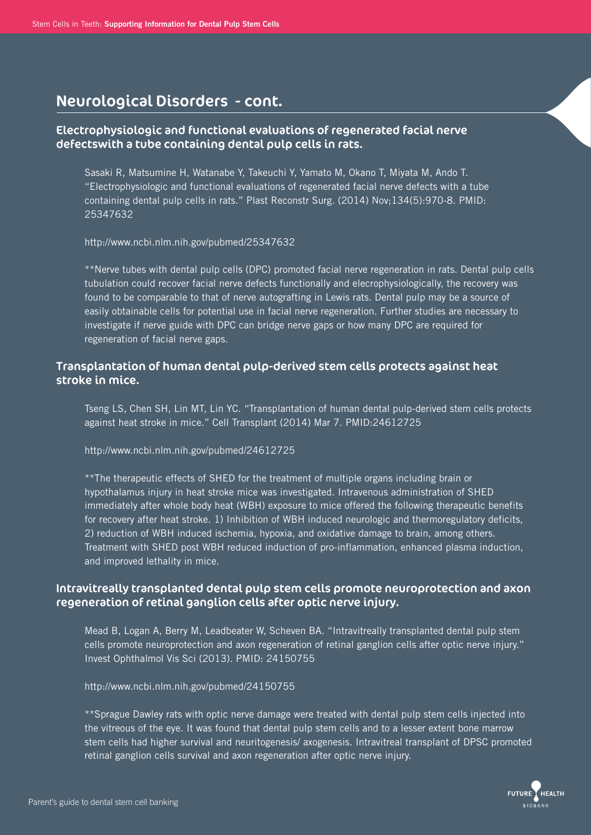## Electrophysiologic and functional evaluations of regenerated facial nerve defectswith a tube containing dental pulp cells in rats.

 Sasaki R, Matsumine H, Watanabe Y, Takeuchi Y, Yamato M, Okano T, Miyata M, Ando T. "Electrophysiologic and functional evaluations of regenerated facial nerve defects with a tube containing dental pulp cells in rats." Plast Reconstr Surg. (2014) Nov;134(5):970-8. PMID: 25347632

http://www.ncbi.nlm.nih.gov/pubmed/25347632

 \*\*Nerve tubes with dental pulp cells (DPC) promoted facial nerve regeneration in rats. Dental pulp cells tubulation could recover facial nerve defects functionally and elecrophysiologically, the recovery was found to be comparable to that of nerve autografting in Lewis rats. Dental pulp may be a source of easily obtainable cells for potential use in facial nerve regeneration. Further studies are necessary to investigate if nerve guide with DPC can bridge nerve gaps or how many DPC are required for regeneration of facial nerve gaps.

## Transplantation of human dental pulp-derived stem cells protects against heat stroke in mice.

 Tseng LS, Chen SH, Lin MT, Lin YC. "Transplantation of human dental pulp-derived stem cells protects against heat stroke in mice." Cell Transplant (2014) Mar 7. PMID:24612725

http://www.ncbi.nlm.nih.gov/pubmed/24612725

 \*\*The therapeutic effects of SHED for the treatment of multiple organs including brain or hypothalamus injury in heat stroke mice was investigated. Intravenous administration of SHED immediately after whole body heat (WBH) exposure to mice offered the following therapeutic benefits for recovery after heat stroke. 1) Inhibition of WBH induced neurologic and thermoregulatory deficits, 2) reduction of WBH induced ischemia, hypoxia, and oxidative damage to brain, among others. Treatment with SHED post WBH reduced induction of pro-inflammation, enhanced plasma induction, and improved lethality in mice.

## Intravitreally transplanted dental pulp stem cells promote neuroprotection and axon regeneration of retinal ganglion cells after optic nerve injury.

 Mead B, Logan A, Berry M, Leadbeater W, Scheven BA. "Intravitreally transplanted dental pulp stem cells promote neuroprotection and axon regeneration of retinal ganglion cells after optic nerve injury." Invest Ophthalmol Vis Sci (2013). PMID: 24150755

http://www.ncbi.nlm.nih.gov/pubmed/24150755

 \*\*Sprague Dawley rats with optic nerve damage were treated with dental pulp stem cells injected into the vitreous of the eye. It was found that dental pulp stem cells and to a lesser extent bone marrow stem cells had higher survival and neuritogenesis/ axogenesis. Intravitreal transplant of DPSC promoted retinal ganglion cells survival and axon regeneration after optic nerve injury.

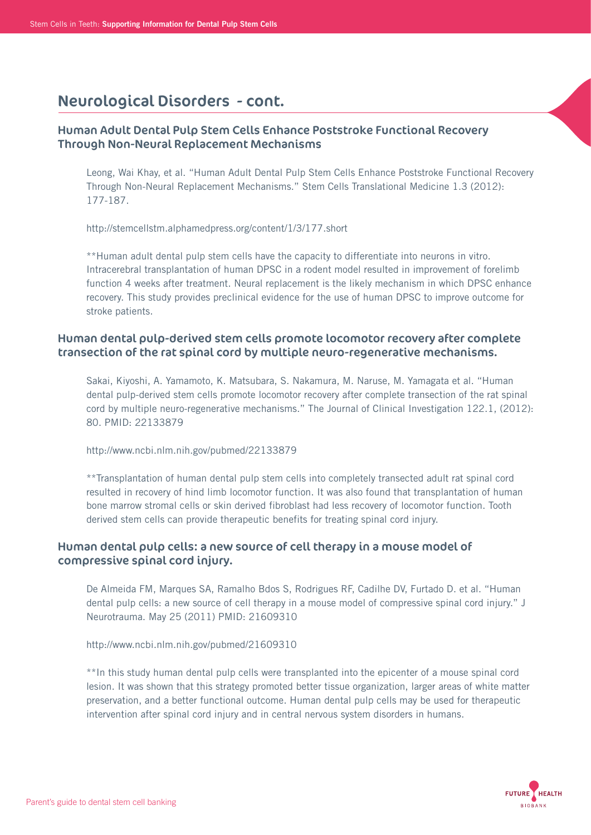## Human Adult Dental Pulp Stem Cells Enhance Poststroke Functional Recovery Through Non-Neural Replacement Mechanisms

 Leong, Wai Khay, et al. "Human Adult Dental Pulp Stem Cells Enhance Poststroke Functional Recovery Through Non-Neural Replacement Mechanisms." Stem Cells Translational Medicine 1.3 (2012): 177-187.

http://stemcellstm.alphamedpress.org/content/1/3/177.short

 \*\*Human adult dental pulp stem cells have the capacity to differentiate into neurons in vitro. Intracerebral transplantation of human DPSC in a rodent model resulted in improvement of forelimb function 4 weeks after treatment. Neural replacement is the likely mechanism in which DPSC enhance recovery. This study provides preclinical evidence for the use of human DPSC to improve outcome for stroke patients.

## Human dental pulp-derived stem cells promote locomotor recovery after complete transection of the rat spinal cord by multiple neuro-regenerative mechanisms.

 Sakai, Kiyoshi, A. Yamamoto, K. Matsubara, S. Nakamura, M. Naruse, M. Yamagata et al. "Human dental pulp-derived stem cells promote locomotor recovery after complete transection of the rat spinal cord by multiple neuro-regenerative mechanisms." The Journal of Clinical Investigation 122.1, (2012): 80. PMID: 22133879

http://www.ncbi.nlm.nih.gov/pubmed/22133879

 \*\*Transplantation of human dental pulp stem cells into completely transected adult rat spinal cord resulted in recovery of hind limb locomotor function. It was also found that transplantation of human bone marrow stromal cells or skin derived fibroblast had less recovery of locomotor function. Tooth derived stem cells can provide therapeutic benefits for treating spinal cord injury.

## Human dental pulp cells: a new source of cell therapy in a mouse model of compressive spinal cord injury.

 De Almeida FM, Marques SA, Ramalho Bdos S, Rodrigues RF, Cadilhe DV, Furtado D. et al. "Human dental pulp cells: a new source of cell therapy in a mouse model of compressive spinal cord injury." J Neurotrauma. May 25 (2011) PMID: 21609310

http://www.ncbi.nlm.nih.gov/pubmed/21609310

 \*\*In this study human dental pulp cells were transplanted into the epicenter of a mouse spinal cord lesion. It was shown that this strategy promoted better tissue organization, larger areas of white matter preservation, and a better functional outcome. Human dental pulp cells may be used for therapeutic intervention after spinal cord injury and in central nervous system disorders in humans.

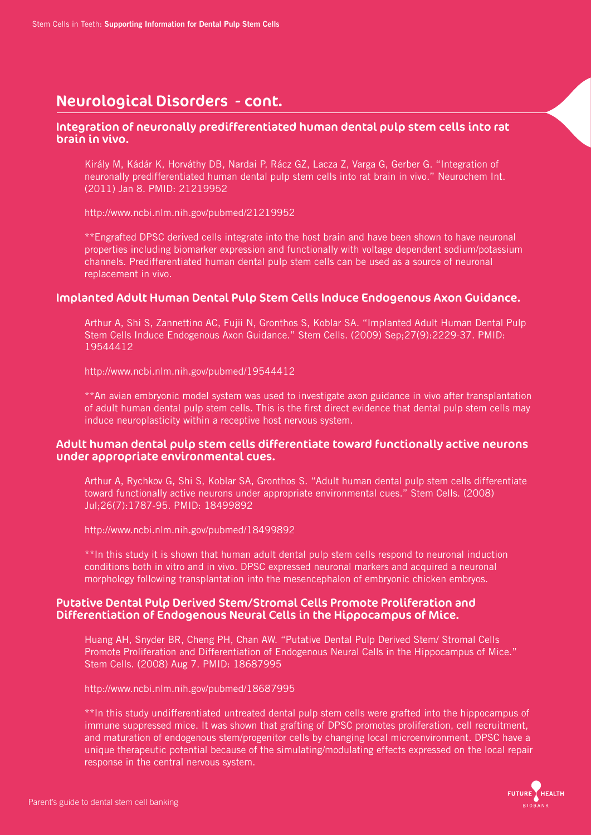### Integration of neuronally predifferentiated human dental pulp stem cells into rat brain in vivo.

 Király M, Kádár K, Horváthy DB, Nardai P, Rácz GZ, Lacza Z, Varga G, Gerber G. "Integration of neuronally predifferentiated human dental pulp stem cells into rat brain in vivo." Neurochem Int. (2011) Jan 8. PMID: 21219952

http://www.ncbi.nlm.nih.gov/pubmed/21219952

 \*\*Engrafted DPSC derived cells integrate into the host brain and have been shown to have neuronal properties including biomarker expression and functionally with voltage dependent sodium/potassium channels. Predifferentiated human dental pulp stem cells can be used as a source of neuronal replacement in vivo.

### Implanted Adult Human Dental Pulp Stem Cells Induce Endogenous Axon Guidance.

 Arthur A, Shi S, Zannettino AC, Fujii N, Gronthos S, Koblar SA. "Implanted Adult Human Dental Pulp Stem Cells Induce Endogenous Axon Guidance." Stem Cells. (2009) Sep;27(9):2229-37. PMID: 19544412

http://www.ncbi.nlm.nih.gov/pubmed/19544412

 \*\*An avian embryonic model system was used to investigate axon guidance in vivo after transplantation of adult human dental pulp stem cells. This is the first direct evidence that dental pulp stem cells may induce neuroplasticity within a receptive host nervous system.

### Adult human dental pulp stem cells differentiate toward functionally active neurons under appropriate environmental cues.

 Arthur A, Rychkov G, Shi S, Koblar SA, Gronthos S. "Adult human dental pulp stem cells differentiate toward functionally active neurons under appropriate environmental cues." Stem Cells. (2008) Jul;26(7):1787-95. PMID: 18499892

http://www.ncbi.nlm.nih.gov/pubmed/18499892

 \*\*In this study it is shown that human adult dental pulp stem cells respond to neuronal induction conditions both in vitro and in vivo. DPSC expressed neuronal markers and acquired a neuronal morphology following transplantation into the mesencephalon of embryonic chicken embryos.

### Putative Dental Pulp Derived Stem/Stromal Cells Promote Proliferation and Differentiation of Endogenous Neural Cells in the Hippocampus of Mice.

 Huang AH, Snyder BR, Cheng PH, Chan AW. "Putative Dental Pulp Derived Stem/ Stromal Cells Promote Proliferation and Differentiation of Endogenous Neural Cells in the Hippocampus of Mice." Stem Cells. (2008) Aug 7. PMID: 18687995

http://www.ncbi.nlm.nih.gov/pubmed/18687995

 \*\*In this study undifferentiated untreated dental pulp stem cells were grafted into the hippocampus of immune suppressed mice. It was shown that grafting of DPSC promotes proliferation, cell recruitment, and maturation of endogenous stem/progenitor cells by changing local microenvironment. DPSC have a unique therapeutic potential because of the simulating/modulating effects expressed on the local repair response in the central nervous system.

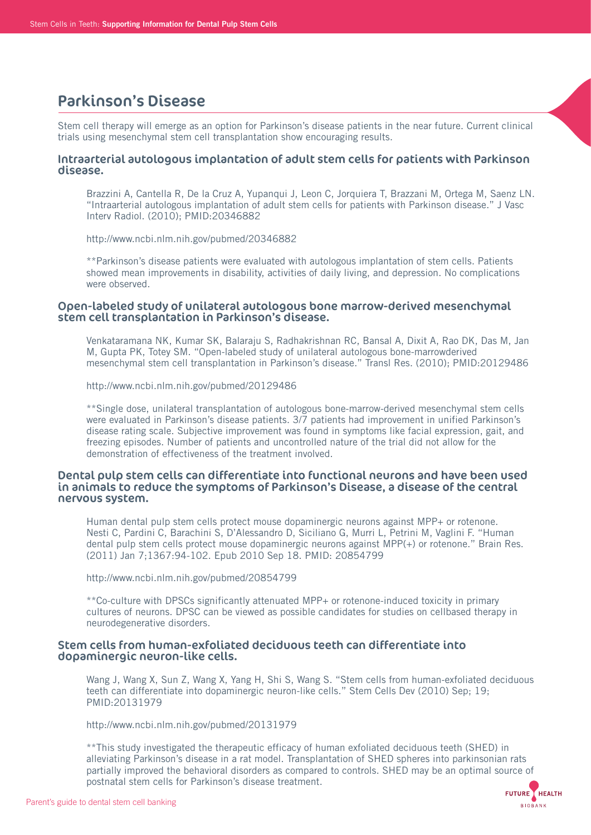## Parkinson's Disease

Stem cell therapy will emerge as an option for Parkinson's disease patients in the near future. Current clinical trials using mesenchymal stem cell transplantation show encouraging results.

### Intraarterial autologous implantation of adult stem cells for patients with Parkinson disease.

 Brazzini A, Cantella R, De la Cruz A, Yupanqui J, Leon C, Jorquiera T, Brazzani M, Ortega M, Saenz LN. "Intraarterial autologous implantation of adult stem cells for patients with Parkinson disease." J Vasc Interv Radiol. (2010); PMID:20346882

http://www.ncbi.nlm.nih.gov/pubmed/20346882

 \*\*Parkinson's disease patients were evaluated with autologous implantation of stem cells. Patients showed mean improvements in disability, activities of daily living, and depression. No complications were observed.

### Open-labeled study of unilateral autologous bone marrow-derived mesenchymal stem cell transplantation in Parkinson's disease.

 Venkataramana NK, Kumar SK, Balaraju S, Radhakrishnan RC, Bansal A, Dixit A, Rao DK, Das M, Jan M, Gupta PK, Totey SM. "Open-labeled study of unilateral autologous bone-marrowderived mesenchymal stem cell transplantation in Parkinson's disease." Transl Res. (2010); PMID:20129486

http://www.ncbi.nlm.nih.gov/pubmed/20129486

 \*\*Single dose, unilateral transplantation of autologous bone-marrow-derived mesenchymal stem cells were evaluated in Parkinson's disease patients. 3/7 patients had improvement in unified Parkinson's disease rating scale. Subjective improvement was found in symptoms like facial expression, gait, and freezing episodes. Number of patients and uncontrolled nature of the trial did not allow for the demonstration of effectiveness of the treatment involved.

#### Dental pulp stem cells can differentiate into functional neurons and have been used in animals to reduce the symptoms of Parkinson's Disease, a disease of the central nervous system.

 Human dental pulp stem cells protect mouse dopaminergic neurons against MPP+ or rotenone. Nesti C, Pardini C, Barachini S, D'Alessandro D, Siciliano G, Murri L, Petrini M, Vaglini F. "Human dental pulp stem cells protect mouse dopaminergic neurons against MPP(+) or rotenone." Brain Res. (2011) Jan 7;1367:94-102. Epub 2010 Sep 18. PMID: 20854799

http://www.ncbi.nlm.nih.gov/pubmed/20854799

 \*\*Co-culture with DPSCs significantly attenuated MPP+ or rotenone-induced toxicity in primary cultures of neurons. DPSC can be viewed as possible candidates for studies on cellbased therapy in neurodegenerative disorders.

### Stem cells from human-exfoliated deciduous teeth can differentiate into dopaminergic neuron-like cells.

 Wang J, Wang X, Sun Z, Wang X, Yang H, Shi S, Wang S. "Stem cells from human-exfoliated deciduous teeth can differentiate into dopaminergic neuron-like cells." Stem Cells Dev (2010) Sep; 19; PMID:20131979

http://www.ncbi.nlm.nih.gov/pubmed/20131979

 \*\*This study investigated the therapeutic efficacy of human exfoliated deciduous teeth (SHED) in alleviating Parkinson's disease in a rat model. Transplantation of SHED spheres into parkinsonian rats partially improved the behavioral disorders as compared to controls. SHED may be an optimal source of postnatal stem cells for Parkinson's disease treatment.

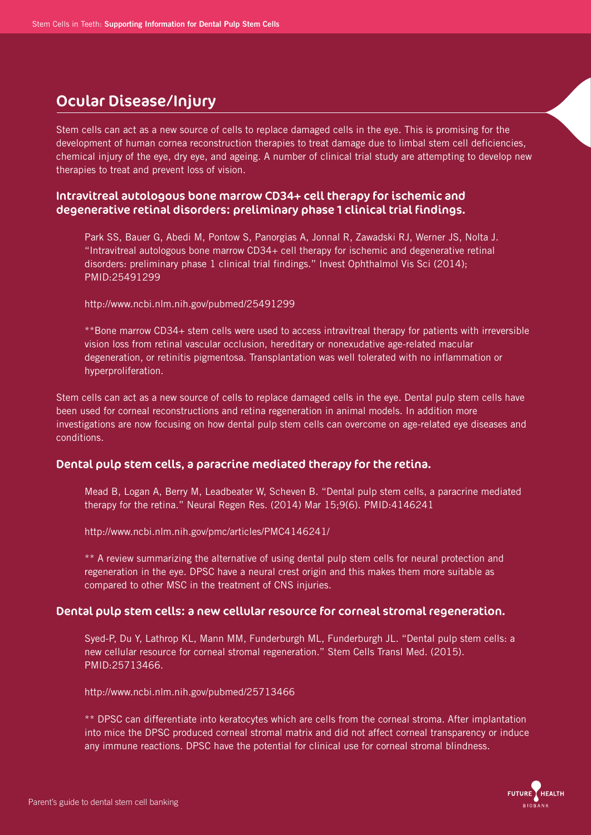# Ocular Disease/Injury

Stem cells can act as a new source of cells to replace damaged cells in the eye. This is promising for the development of human cornea reconstruction therapies to treat damage due to limbal stem cell deficiencies, chemical injury of the eye, dry eye, and ageing. A number of clinical trial study are attempting to develop new therapies to treat and prevent loss of vision.

### Intravitreal autologous bone marrow CD34+ cell therapy for ischemic and degenerative retinal disorders: preliminary phase 1 clinical trial findings.

 Park SS, Bauer G, Abedi M, Pontow S, Panorgias A, Jonnal R, Zawadski RJ, Werner JS, Nolta J. "Intravitreal autologous bone marrow CD34+ cell therapy for ischemic and degenerative retinal disorders: preliminary phase 1 clinical trial findings." Invest Ophthalmol Vis Sci (2014); PMID:25491299

http://www.ncbi.nlm.nih.gov/pubmed/25491299

 \*\*Bone marrow CD34+ stem cells were used to access intravitreal therapy for patients with irreversible vision loss from retinal vascular occlusion, hereditary or nonexudative age-related macular degeneration, or retinitis pigmentosa. Transplantation was well tolerated with no inflammation or hyperproliferation.

Stem cells can act as a new source of cells to replace damaged cells in the eye. Dental pulp stem cells have been used for corneal reconstructions and retina regeneration in animal models. In addition more investigations are now focusing on how dental pulp stem cells can overcome on age-related eye diseases and conditions.

### Dental pulp stem cells, a paracrine mediated therapy for the retina.

 Mead B, Logan A, Berry M, Leadbeater W, Scheven B. "Dental pulp stem cells, a paracrine mediated therapy for the retina." Neural Regen Res. (2014) Mar 15;9(6). PMID:4146241

http://www.ncbi.nlm.nih.gov/pmc/articles/PMC4146241/

 \*\* A review summarizing the alternative of using dental pulp stem cells for neural protection and regeneration in the eye. DPSC have a neural crest origin and this makes them more suitable as compared to other MSC in the treatment of CNS injuries.

### Dental pulp stem cells: a new cellular resource for corneal stromal regeneration.

 Syed-P, Du Y, Lathrop KL, Mann MM, Funderburgh ML, Funderburgh JL. "Dental pulp stem cells: a new cellular resource for corneal stromal regeneration." Stem Cells Transl Med. (2015). PMID:25713466.

http://www.ncbi.nlm.nih.gov/pubmed/25713466

 \*\* DPSC can differentiate into keratocytes which are cells from the corneal stroma. After implantation into mice the DPSC produced corneal stromal matrix and did not affect corneal transparency or induce any immune reactions. DPSC have the potential for clinical use for corneal stromal blindness.

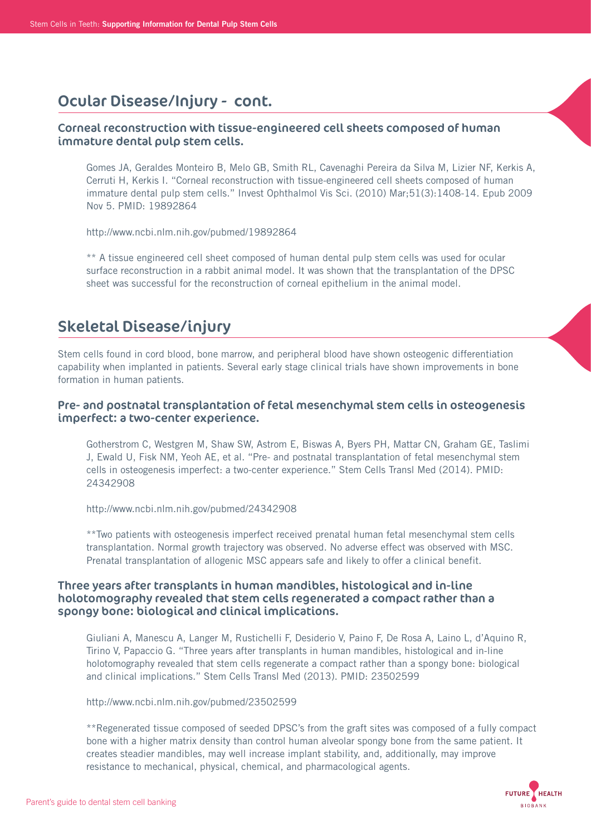# Ocular Disease/Injury - cont.

## Corneal reconstruction with tissue-engineered cell sheets composed of human immature dental pulp stem cells.

 Gomes JA, Geraldes Monteiro B, Melo GB, Smith RL, Cavenaghi Pereira da Silva M, Lizier NF, Kerkis A, Cerruti H, Kerkis I. "Corneal reconstruction with tissue-engineered cell sheets composed of human immature dental pulp stem cells." Invest Ophthalmol Vis Sci. (2010) Mar;51(3):1408-14. Epub 2009 Nov 5. PMID: 19892864

http://www.ncbi.nlm.nih.gov/pubmed/19892864

 \*\* A tissue engineered cell sheet composed of human dental pulp stem cells was used for ocular surface reconstruction in a rabbit animal model. It was shown that the transplantation of the DPSC sheet was successful for the reconstruction of corneal epithelium in the animal model.

# Skeletal Disease/injury

Stem cells found in cord blood, bone marrow, and peripheral blood have shown osteogenic differentiation capability when implanted in patients. Several early stage clinical trials have shown improvements in bone formation in human patients.

### Pre- and postnatal transplantation of fetal mesenchymal stem cells in osteogenesis imperfect: a two-center experience.

 Gotherstrom C, Westgren M, Shaw SW, Astrom E, Biswas A, Byers PH, Mattar CN, Graham GE, Taslimi J, Ewald U, Fisk NM, Yeoh AE, et al. "Pre- and postnatal transplantation of fetal mesenchymal stem cells in osteogenesis imperfect: a two-center experience." Stem Cells Transl Med (2014). PMID: 24342908

http://www.ncbi.nlm.nih.gov/pubmed/24342908

 \*\*Two patients with osteogenesis imperfect received prenatal human fetal mesenchymal stem cells transplantation. Normal growth trajectory was observed. No adverse effect was observed with MSC. Prenatal transplantation of allogenic MSC appears safe and likely to offer a clinical benefit.

### Three years after transplants in human mandibles, histological and in-line holotomography revealed that stem cells regenerated a compact rather than a spongy bone: biological and clinical implications.

 Giuliani A, Manescu A, Langer M, Rustichelli F, Desiderio V, Paino F, De Rosa A, Laino L, d'Aquino R, Tirino V, Papaccio G. "Three years after transplants in human mandibles, histological and in-line holotomography revealed that stem cells regenerate a compact rather than a spongy bone: biological and clinical implications." Stem Cells Transl Med (2013). PMID: 23502599

http://www.ncbi.nlm.nih.gov/pubmed/23502599

 \*\*Regenerated tissue composed of seeded DPSC's from the graft sites was composed of a fully compact bone with a higher matrix density than control human alveolar spongy bone from the same patient. It creates steadier mandibles, may well increase implant stability, and, additionally, may improve resistance to mechanical, physical, chemical, and pharmacological agents.

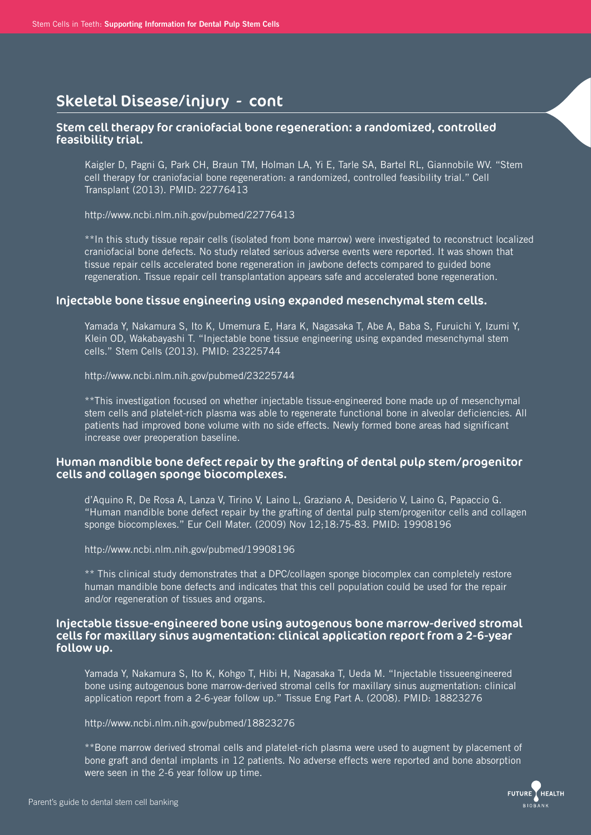### Stem cell therapy for craniofacial bone regeneration: a randomized, controlled feasibility trial.

 Kaigler D, Pagni G, Park CH, Braun TM, Holman LA, Yi E, Tarle SA, Bartel RL, Giannobile WV. "Stem cell therapy for craniofacial bone regeneration: a randomized, controlled feasibility trial." Cell Transplant (2013). PMID: 22776413

http://www.ncbi.nlm.nih.gov/pubmed/22776413

 \*\*In this study tissue repair cells (isolated from bone marrow) were investigated to reconstruct localized craniofacial bone defects. No study related serious adverse events were reported. It was shown that tissue repair cells accelerated bone regeneration in jawbone defects compared to guided bone regeneration. Tissue repair cell transplantation appears safe and accelerated bone regeneration.

#### Injectable bone tissue engineering using expanded mesenchymal stem cells.

 Yamada Y, Nakamura S, Ito K, Umemura E, Hara K, Nagasaka T, Abe A, Baba S, Furuichi Y, Izumi Y, Klein OD, Wakabayashi T. "Injectable bone tissue engineering using expanded mesenchymal stem cells." Stem Cells (2013). PMID: 23225744

http://www.ncbi.nlm.nih.gov/pubmed/23225744

 \*\*This investigation focused on whether injectable tissue-engineered bone made up of mesenchymal stem cells and platelet-rich plasma was able to regenerate functional bone in alveolar deficiencies. All patients had improved bone volume with no side effects. Newly formed bone areas had significant increase over preoperation baseline.

### Human mandible bone defect repair by the grafting of dental pulp stem/progenitor cells and collagen sponge biocomplexes.

 d'Aquino R, De Rosa A, Lanza V, Tirino V, Laino L, Graziano A, Desiderio V, Laino G, Papaccio G. "Human mandible bone defect repair by the grafting of dental pulp stem/progenitor cells and collagen sponge biocomplexes." Eur Cell Mater. (2009) Nov 12;18:75-83. PMID: 19908196

http://www.ncbi.nlm.nih.gov/pubmed/19908196

 \*\* This clinical study demonstrates that a DPC/collagen sponge biocomplex can completely restore human mandible bone defects and indicates that this cell population could be used for the repair and/or regeneration of tissues and organs.

### Injectable tissue-engineered bone using autogenous bone marrow-derived stromal cells for maxillary sinus augmentation: clinical application report from a 2-6-year follow up.

 Yamada Y, Nakamura S, Ito K, Kohgo T, Hibi H, Nagasaka T, Ueda M. "Injectable tissueengineered bone using autogenous bone marrow-derived stromal cells for maxillary sinus augmentation: clinical application report from a 2-6-year follow up." Tissue Eng Part A. (2008). PMID: 18823276

http://www.ncbi.nlm.nih.gov/pubmed/18823276

 \*\*Bone marrow derived stromal cells and platelet-rich plasma were used to augment by placement of bone graft and dental implants in 12 patients. No adverse effects were reported and bone absorption were seen in the 2-6 year follow up time.

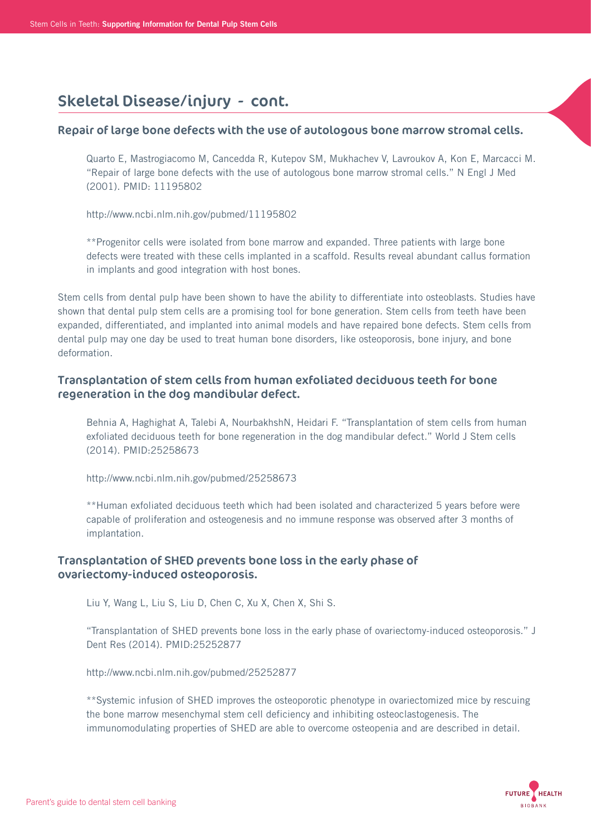### Repair of large bone defects with the use of autologous bone marrow stromal cells.

 Quarto E, Mastrogiacomo M, Cancedda R, Kutepov SM, Mukhachev V, Lavroukov A, Kon E, Marcacci M. "Repair of large bone defects with the use of autologous bone marrow stromal cells." N Engl J Med (2001). PMID: 11195802

http://www.ncbi.nlm.nih.gov/pubmed/11195802

 \*\*Progenitor cells were isolated from bone marrow and expanded. Three patients with large bone defects were treated with these cells implanted in a scaffold. Results reveal abundant callus formation in implants and good integration with host bones.

Stem cells from dental pulp have been shown to have the ability to differentiate into osteoblasts. Studies have shown that dental pulp stem cells are a promising tool for bone generation. Stem cells from teeth have been expanded, differentiated, and implanted into animal models and have repaired bone defects. Stem cells from dental pulp may one day be used to treat human bone disorders, like osteoporosis, bone injury, and bone deformation.

## Transplantation of stem cells from human exfoliated deciduous teeth for bone regeneration in the dog mandibular defect.

 Behnia A, Haghighat A, Talebi A, NourbakhshN, Heidari F. "Transplantation of stem cells from human exfoliated deciduous teeth for bone regeneration in the dog mandibular defect." World J Stem cells (2014). PMID:25258673

http://www.ncbi.nlm.nih.gov/pubmed/25258673

 \*\*Human exfoliated deciduous teeth which had been isolated and characterized 5 years before were capable of proliferation and osteogenesis and no immune response was observed after 3 months of implantation.

### Transplantation of SHED prevents bone loss in the early phase of ovariectomy-induced osteoporosis.

Liu Y, Wang L, Liu S, Liu D, Chen C, Xu X, Chen X, Shi S.

 "Transplantation of SHED prevents bone loss in the early phase of ovariectomy-induced osteoporosis." J Dent Res (2014). PMID:25252877

http://www.ncbi.nlm.nih.gov/pubmed/25252877

 \*\*Systemic infusion of SHED improves the osteoporotic phenotype in ovariectomized mice by rescuing the bone marrow mesenchymal stem cell deficiency and inhibiting osteoclastogenesis. The immunomodulating properties of SHED are able to overcome osteopenia and are described in detail.

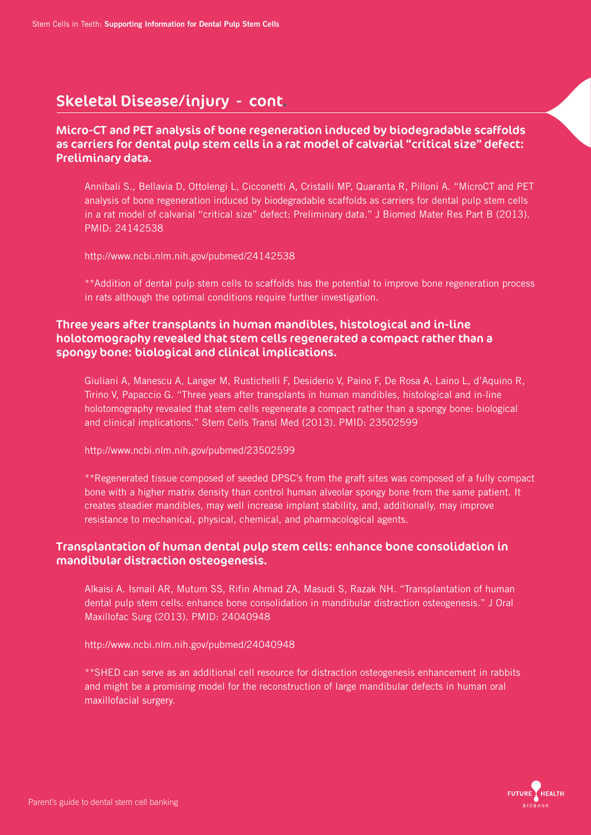## Micro-CT and PET analysis of bone regeneration induced by biodegradable scaffolds as carriers for dental pulp stem cells in a rat model of calvarial "critical size" defect: Preliminary data.

 Annibali S., Bellavia D, Ottolengi L, Cicconetti A, Cristalli MP, Quaranta R, Pilloni A. "MicroCT and PET analysis of bone regeneration induced by biodegradable scaffolds as carriers for dental pulp stem cells in a rat model of calvarial "critical size" defect: Preliminary data." J Biomed Mater Res Part B (2013). PMID: 24142538

http://www.ncbi.nlm.nih.gov/pubmed/24142538

 \*\*Addition of dental pulp stem cells to scaffolds has the potential to improve bone regeneration process in rats although the optimal conditions require further investigation.

## Three years after transplants in human mandibles, histological and in-line holotomography revealed that stem cells regenerated a compact rather than a spongy bone: biological and clinical implications.

 Giuliani A, Manescu A, Langer M, Rustichelli F, Desiderio V, Paino F, De Rosa A, Laino L, d'Aquino R, Tirino V, Papaccio G. "Three years after transplants in human mandibles, histological and in-line holotomography revealed that stem cells regenerate a compact rather than a spongy bone: biological and clinical implications." Stem Cells Transl Med (2013). PMID: 23502599

http://www.ncbi.nlm.nih.gov/pubmed/23502599

 \*\*Regenerated tissue composed of seeded DPSC's from the graft sites was composed of a fully compact bone with a higher matrix density than control human alveolar spongy bone from the same patient. It creates steadier mandibles, may well increase implant stability, and, additionally, may improve resistance to mechanical, physical, chemical, and pharmacological agents.

## Transplantation of human dental pulp stem cells: enhance bone consolidation in mandibular distraction osteogenesis.

 Alkaisi A. Ismail AR, Mutum SS, Rifin Ahmad ZA, Masudi S, Razak NH. "Transplantation of human dental pulp stem cells: enhance bone consolidation in mandibular distraction osteogenesis." J Oral Maxillofac Surg (2013). PMID: 24040948

http://www.ncbi.nlm.nih.gov/pubmed/24040948

 \*\*SHED can serve as an additional cell resource for distraction osteogenesis enhancement in rabbits and might be a promising model for the reconstruction of large mandibular defects in human oral maxillofacial surgery.

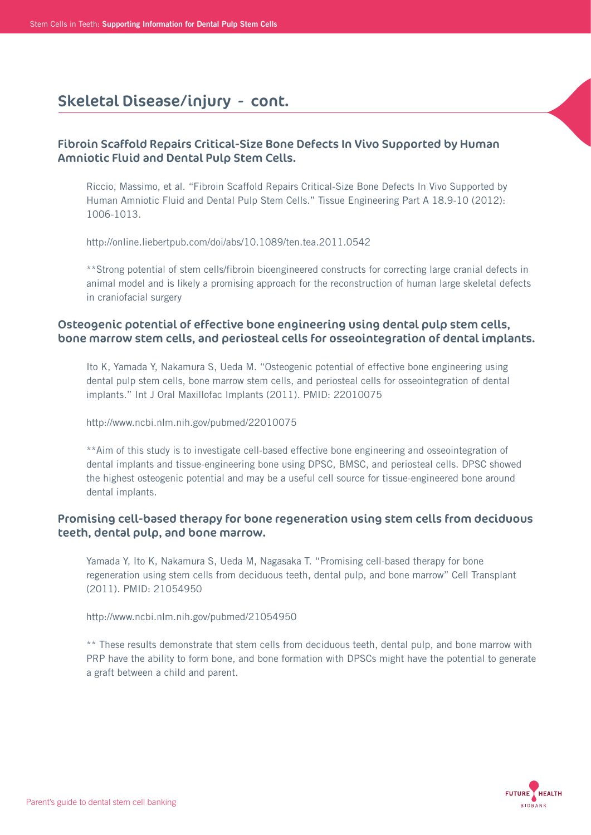## Fibroin Scaffold Repairs Critical-Size Bone Defects In Vivo Supported by Human Amniotic Fluid and Dental Pulp Stem Cells.

 Riccio, Massimo, et al. "Fibroin Scaffold Repairs Critical-Size Bone Defects In Vivo Supported by Human Amniotic Fluid and Dental Pulp Stem Cells." Tissue Engineering Part A 18.9-10 (2012): 1006-1013.

http://online.liebertpub.com/doi/abs/10.1089/ten.tea.2011.0542

 \*\*Strong potential of stem cells/fibroin bioengineered constructs for correcting large cranial defects in animal model and is likely a promising approach for the reconstruction of human large skeletal defects in craniofacial surgery

## Osteogenic potential of effective bone engineering using dental pulp stem cells, bone marrow stem cells, and periosteal cells for osseointegration of dental implants.

 Ito K, Yamada Y, Nakamura S, Ueda M. "Osteogenic potential of effective bone engineering using dental pulp stem cells, bone marrow stem cells, and periosteal cells for osseointegration of dental implants." Int J Oral Maxillofac Implants (2011). PMID: 22010075

http://www.ncbi.nlm.nih.gov/pubmed/22010075

 \*\*Aim of this study is to investigate cell-based effective bone engineering and osseointegration of dental implants and tissue-engineering bone using DPSC, BMSC, and periosteal cells. DPSC showed the highest osteogenic potential and may be a useful cell source for tissue-engineered bone around dental implants.

### Promising cell-based therapy for bone regeneration using stem cells from deciduous teeth, dental pulp, and bone marrow.

 Yamada Y, Ito K, Nakamura S, Ueda M, Nagasaka T. "Promising cell-based therapy for bone regeneration using stem cells from deciduous teeth, dental pulp, and bone marrow" Cell Transplant (2011). PMID: 21054950

http://www.ncbi.nlm.nih.gov/pubmed/21054950

\*\* These results demonstrate that stem cells from deciduous teeth, dental pulp, and bone marrow with PRP have the ability to form bone, and bone formation with DPSCs might have the potential to generate a graft between a child and parent.

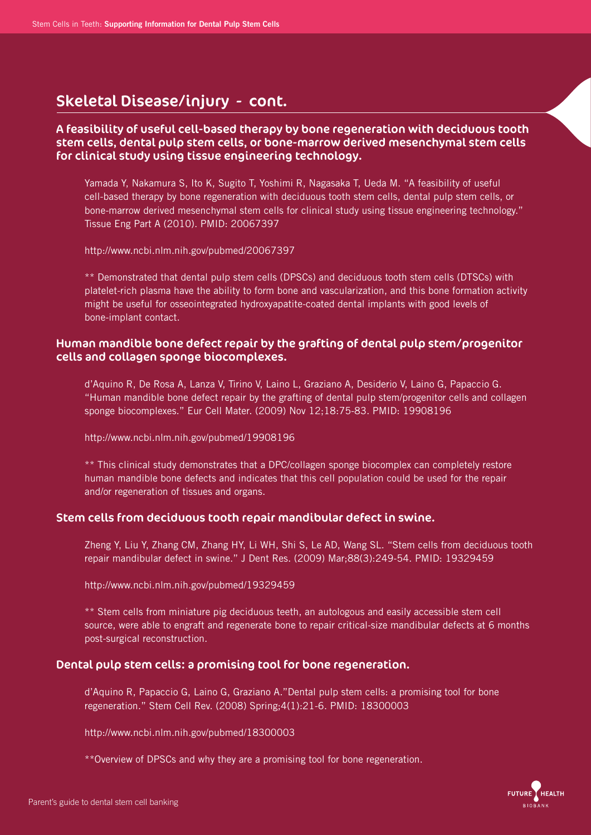### A feasibility of useful cell-based therapy by bone regeneration with deciduous tooth stem cells, dental pulp stem cells, or bone-marrow derived mesenchymal stem cells for clinical study using tissue engineering technology.

 Yamada Y, Nakamura S, Ito K, Sugito T, Yoshimi R, Nagasaka T, Ueda M. "A feasibility of useful cell-based therapy by bone regeneration with deciduous tooth stem cells, dental pulp stem cells, or bone-marrow derived mesenchymal stem cells for clinical study using tissue engineering technology." Tissue Eng Part A (2010). PMID: 20067397

http://www.ncbi.nlm.nih.gov/pubmed/20067397

 \*\* Demonstrated that dental pulp stem cells (DPSCs) and deciduous tooth stem cells (DTSCs) with platelet-rich plasma have the ability to form bone and vascularization, and this bone formation activity might be useful for osseointegrated hydroxyapatite-coated dental implants with good levels of bone-implant contact.

### Human mandible bone defect repair by the grafting of dental pulp stem/progenitor cells and collagen sponge biocomplexes.

 d'Aquino R, De Rosa A, Lanza V, Tirino V, Laino L, Graziano A, Desiderio V, Laino G, Papaccio G. "Human mandible bone defect repair by the grafting of dental pulp stem/progenitor cells and collagen sponge biocomplexes." Eur Cell Mater. (2009) Nov 12;18:75-83. PMID: 19908196

http://www.ncbi.nlm.nih.gov/pubmed/19908196

 \*\* This clinical study demonstrates that a DPC/collagen sponge biocomplex can completely restore human mandible bone defects and indicates that this cell population could be used for the repair and/or regeneration of tissues and organs.

### Stem cells from deciduous tooth repair mandibular defect in swine.

 Zheng Y, Liu Y, Zhang CM, Zhang HY, Li WH, Shi S, Le AD, Wang SL. "Stem cells from deciduous tooth repair mandibular defect in swine." J Dent Res. (2009) Mar;88(3):249-54. PMID: 19329459

http://www.ncbi.nlm.nih.gov/pubmed/19329459

\*\* Stem cells from miniature pig deciduous teeth, an autologous and easily accessible stem cell source, were able to engraft and regenerate bone to repair critical-size mandibular defects at 6 months post-surgical reconstruction.

### Dental pulp stem cells: a promising tool for bone regeneration.

 d'Aquino R, Papaccio G, Laino G, Graziano A."Dental pulp stem cells: a promising tool for bone regeneration." Stem Cell Rev. (2008) Spring;4(1):21-6. PMID: 18300003

http://www.ncbi.nlm.nih.gov/pubmed/18300003

\*\*Overview of DPSCs and why they are a promising tool for bone regeneration.

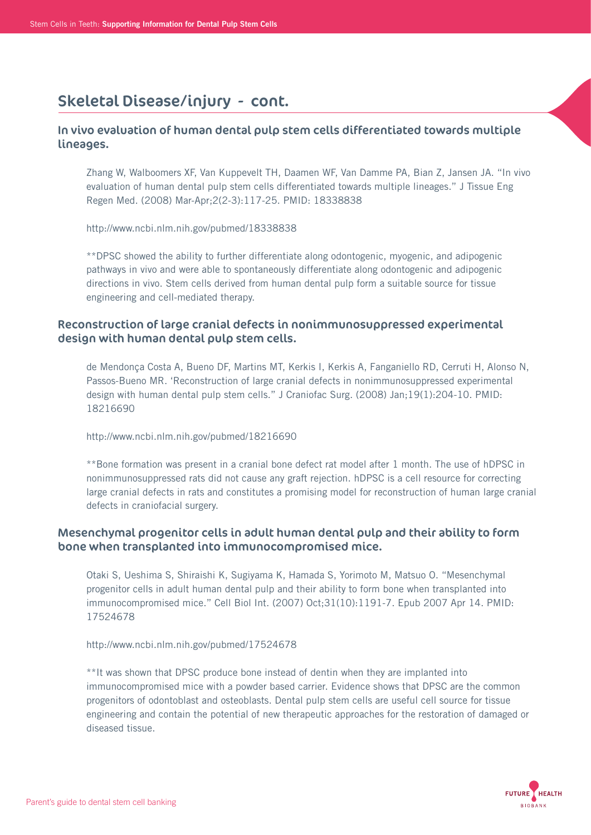### In vivo evaluation of human dental pulp stem cells differentiated towards multiple lineages.

 Zhang W, Walboomers XF, Van Kuppevelt TH, Daamen WF, Van Damme PA, Bian Z, Jansen JA. "In vivo evaluation of human dental pulp stem cells differentiated towards multiple lineages." J Tissue Eng Regen Med. (2008) Mar-Apr;2(2-3):117-25. PMID: 18338838

http://www.ncbi.nlm.nih.gov/pubmed/18338838

 \*\*DPSC showed the ability to further differentiate along odontogenic, myogenic, and adipogenic pathways in vivo and were able to spontaneously differentiate along odontogenic and adipogenic directions in vivo. Stem cells derived from human dental pulp form a suitable source for tissue engineering and cell-mediated therapy.

## Reconstruction of large cranial defects in nonimmunosuppressed experimental design with human dental pulp stem cells.

 de Mendonça Costa A, Bueno DF, Martins MT, Kerkis I, Kerkis A, Fanganiello RD, Cerruti H, Alonso N, Passos-Bueno MR. 'Reconstruction of large cranial defects in nonimmunosuppressed experimental design with human dental pulp stem cells." J Craniofac Surg. (2008) Jan;19(1):204-10. PMID: 18216690

http://www.ncbi.nlm.nih.gov/pubmed/18216690

 \*\*Bone formation was present in a cranial bone defect rat model after 1 month. The use of hDPSC in nonimmunosuppressed rats did not cause any graft rejection. hDPSC is a cell resource for correcting large cranial defects in rats and constitutes a promising model for reconstruction of human large cranial defects in craniofacial surgery.

## Mesenchymal progenitor cells in adult human dental pulp and their ability to form bone when transplanted into immunocompromised mice.

 Otaki S, Ueshima S, Shiraishi K, Sugiyama K, Hamada S, Yorimoto M, Matsuo O. "Mesenchymal progenitor cells in adult human dental pulp and their ability to form bone when transplanted into immunocompromised mice." Cell Biol Int. (2007) Oct;31(10):1191-7. Epub 2007 Apr 14. PMID: 17524678

http://www.ncbi.nlm.nih.gov/pubmed/17524678

 \*\*It was shown that DPSC produce bone instead of dentin when they are implanted into immunocompromised mice with a powder based carrier. Evidence shows that DPSC are the common progenitors of odontoblast and osteoblasts. Dental pulp stem cells are useful cell source for tissue engineering and contain the potential of new therapeutic approaches for the restoration of damaged or diseased tissue.

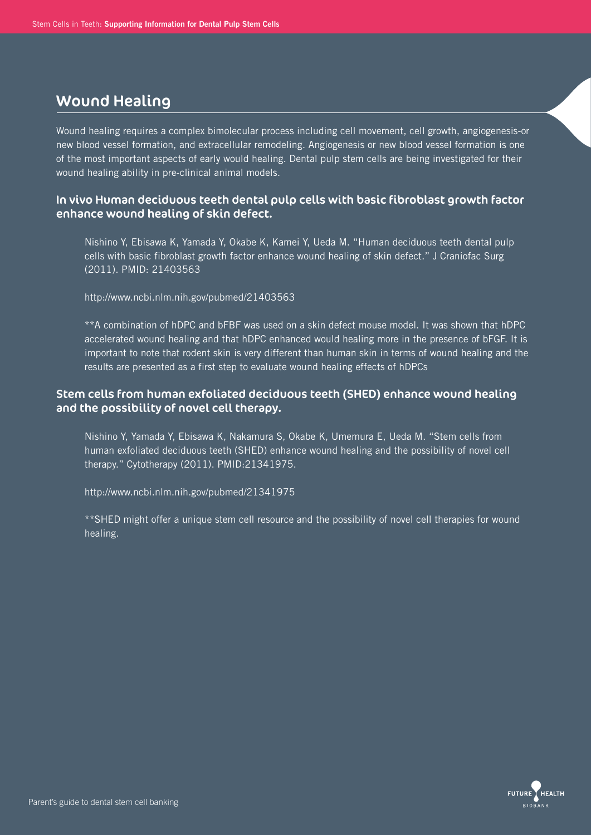## Wound Healing

Wound healing requires a complex bimolecular process including cell movement, cell growth, angiogenesis-or new blood vessel formation, and extracellular remodeling. Angiogenesis or new blood vessel formation is one of the most important aspects of early would healing. Dental pulp stem cells are being investigated for their wound healing ability in pre-clinical animal models.

### In vivo Human deciduous teeth dental pulp cells with basic fibroblast growth factor enhance wound healing of skin defect.

 Nishino Y, Ebisawa K, Yamada Y, Okabe K, Kamei Y, Ueda M. "Human deciduous teeth dental pulp cells with basic fibroblast growth factor enhance wound healing of skin defect." J Craniofac Surg (2011). PMID: 21403563

http://www.ncbi.nlm.nih.gov/pubmed/21403563

 \*\*A combination of hDPC and bFBF was used on a skin defect mouse model. It was shown that hDPC accelerated wound healing and that hDPC enhanced would healing more in the presence of bFGF. It is important to note that rodent skin is very different than human skin in terms of wound healing and the results are presented as a first step to evaluate wound healing effects of hDPCs

### Stem cells from human exfoliated deciduous teeth (SHED) enhance wound healing and the possibility of novel cell therapy.

 Nishino Y, Yamada Y, Ebisawa K, Nakamura S, Okabe K, Umemura E, Ueda M. "Stem cells from human exfoliated deciduous teeth (SHED) enhance wound healing and the possibility of novel cell therapy." Cytotherapy (2011). PMID:21341975.

http://www.ncbi.nlm.nih.gov/pubmed/21341975

 \*\*SHED might offer a unique stem cell resource and the possibility of novel cell therapies for wound healing.

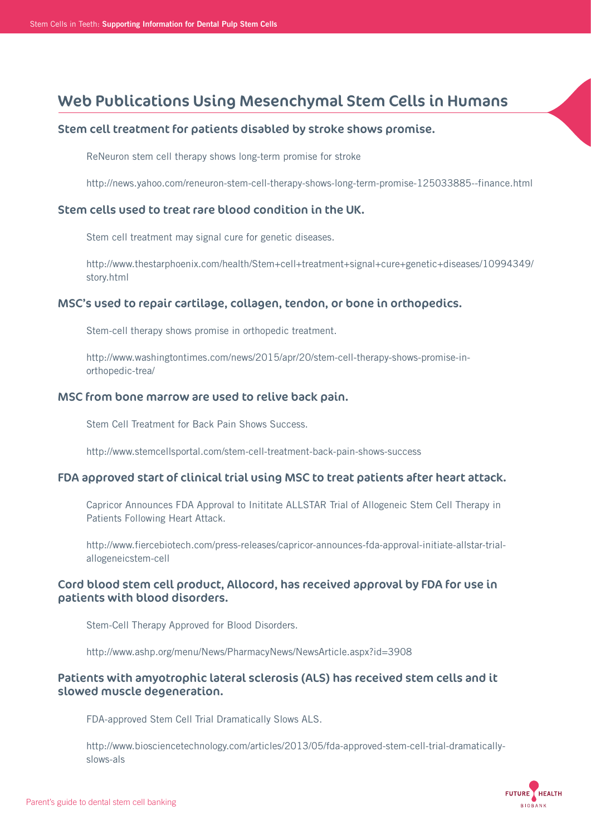# Web Publications Using Mesenchymal Stem Cells in Humans

### Stem cell treatment for patients disabled by stroke shows promise.

ReNeuron stem cell therapy shows long-term promise for stroke

http://news.yahoo.com/reneuron-stem-cell-therapy-shows-long-term-promise-125033885--finance.html

### Stem cells used to treat rare blood condition in the UK.

Stem cell treatment may signal cure for genetic diseases.

 http://www.thestarphoenix.com/health/Stem+cell+treatment+signal+cure+genetic+diseases/10994349/ story.html

### MSC's used to repair cartilage, collagen, tendon, or bone in orthopedics.

Stem-cell therapy shows promise in orthopedic treatment.

 http://www.washingtontimes.com/news/2015/apr/20/stem-cell-therapy-shows-promise-in orthopedic-trea/

### MSC from bone marrow are used to relive back pain.

Stem Cell Treatment for Back Pain Shows Success.

http://www.stemcellsportal.com/stem-cell-treatment-back-pain-shows-success

### FDA approved start of clinical trial using MSC to treat patients after heart attack.

 Capricor Announces FDA Approval to Inititate ALLSTAR Trial of Allogeneic Stem Cell Therapy in Patients Following Heart Attack.

 http://www.fiercebiotech.com/press-releases/capricor-announces-fda-approval-initiate-allstar-trial allogeneicstem-cell

## Cord blood stem cell product, Allocord, has received approval by FDA for use in patients with blood disorders.

Stem-Cell Therapy Approved for Blood Disorders.

http://www.ashp.org/menu/News/PharmacyNews/NewsArticle.aspx?id=3908

## Patients with amyotrophic lateral sclerosis (ALS) has received stem cells and it slowed muscle degeneration.

FDA-approved Stem Cell Trial Dramatically Slows ALS.

 http://www.biosciencetechnology.com/articles/2013/05/fda-approved-stem-cell-trial-dramatically slows-als

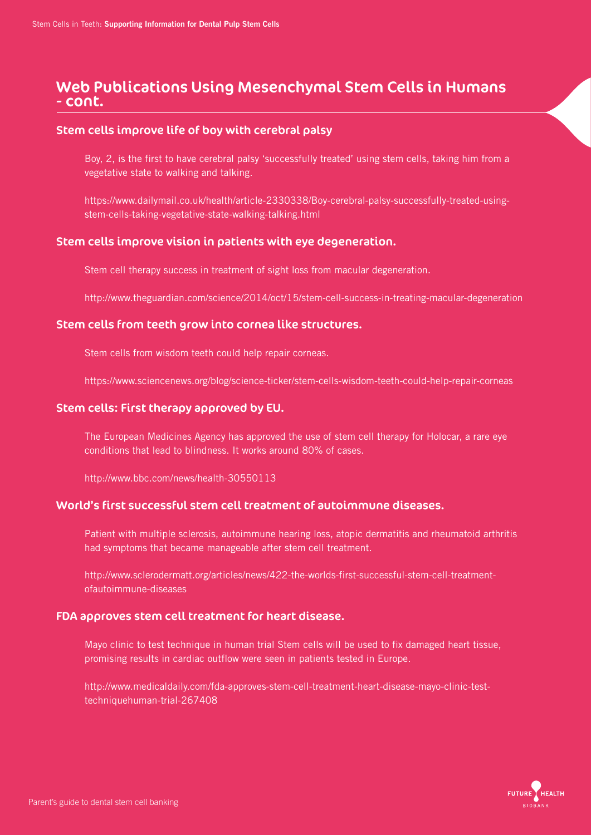## Web Publications Using Mesenchymal Stem Cells in Humans - cont.

### Stem cells improve life of boy with cerebral palsy

 Boy, 2, is the first to have cerebral palsy 'successfully treated' using stem cells, taking him from a vegetative state to walking and talking.

 https://www.dailymail.co.uk/health/article-2330338/Boy-cerebral-palsy-successfully-treated-using stem-cells-taking-vegetative-state-walking-talking.html

### Stem cells improve vision in patients with eye degeneration.

Stem cell therapy success in treatment of sight loss from macular degeneration.

http://www.theguardian.com/science/2014/oct/15/stem-cell-success-in-treating-macular-degeneration

### Stem cells from teeth grow into cornea like structures.

Stem cells from wisdom teeth could help repair corneas.

https://www.sciencenews.org/blog/science-ticker/stem-cells-wisdom-teeth-could-help-repair-corneas

### Stem cells: First therapy approved by EU.

 The European Medicines Agency has approved the use of stem cell therapy for Holocar, a rare eye conditions that lead to blindness. It works around 80% of cases.

http://www.bbc.com/news/health-30550113

### World's first successful stem cell treatment of autoimmune diseases.

 Patient with multiple sclerosis, autoimmune hearing loss, atopic dermatitis and rheumatoid arthritis had symptoms that became manageable after stem cell treatment.

 http://www.sclerodermatt.org/articles/news/422-the-worlds-first-successful-stem-cell-treatment ofautoimmune-diseases

### FDA approves stem cell treatment for heart disease.

 Mayo clinic to test technique in human trial Stem cells will be used to fix damaged heart tissue, promising results in cardiac outflow were seen in patients tested in Europe.

 http://www.medicaldaily.com/fda-approves-stem-cell-treatment-heart-disease-mayo-clinic-test techniquehuman-trial-267408